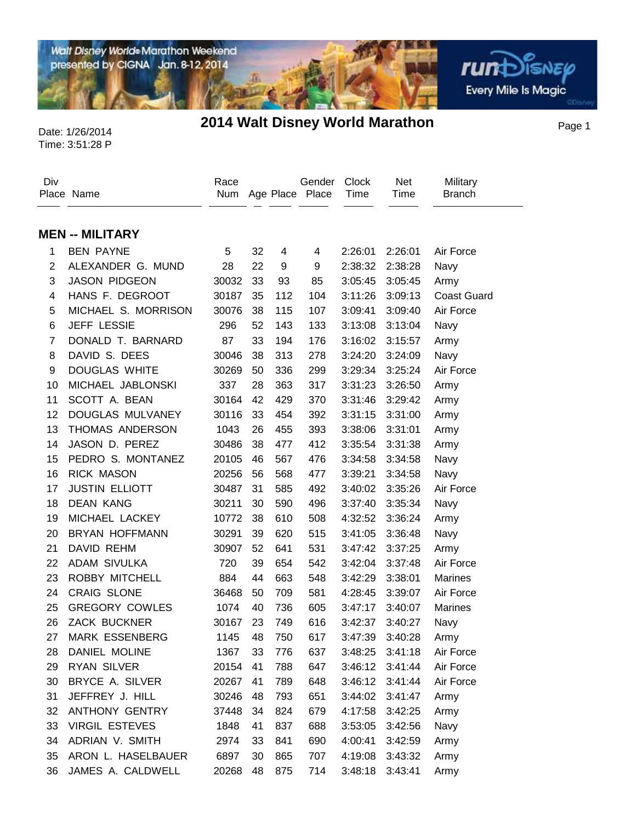Walt Disney World® Marathon Weekend presented by CIGNA Jan. 8-12, 2014

**rund**SISNEP **Every Mile Is Magic** 

## Time: 3:51:28 P

## Date: 1/26/2014 **2014 Walt Disney World Marathon** Page 1

Div Place Name Race Num Age Place Place Gender **Clock** Time **Military** Branch Net Time **MEN -- MILITARY** BEN PAYNE 5 32 4 4 2:26:01 2:26:01 Air Force ALEXANDER G. MUND 28 22 9 9 2:38:32 2:38:28 Navy JASON PIDGEON 30032 33 93 85 3:05:45 3:05:45 Army HANS F. DEGROOT 30187 35 112 104 3:11:26 3:09:13 Coast Guard MICHAEL S. MORRISON 30076 38 115 107 3:09:41 3:09:40 Air Force JEFF LESSIE 296 52 143 133 3:13:08 3:13:04 Navy DONALD T. BARNARD 87 33 194 176 3:16:02 3:15:57 Army DAVID S. DEES 30046 38 313 278 3:24:20 3:24:09 Navy DOUGLAS WHITE 30269 50 336 299 3:29:34 3:25:24 Air Force MICHAEL JABLONSKI 337 28 363 317 3:31:23 3:26:50 Army SCOTT A. BEAN 30164 42 429 370 3:31:46 3:29:42 Army DOUGLAS MULVANEY 30116 33 454 392 3:31:15 3:31:00 Army THOMAS ANDERSON 1043 26 455 393 3:38:06 3:31:01 Army JASON D. PEREZ 30486 38 477 412 3:35:54 3:31:38 Army PEDRO S. MONTANEZ 20105 46 567 476 3:34:58 3:34:58 Navy RICK MASON 20256 56 568 477 3:39:21 3:34:58 Navy JUSTIN ELLIOTT 30487 31 585 492 3:40:02 3:35:26 Air Force DEAN KANG 30211 30 590 496 3:37:40 3:35:34 Navy MICHAEL LACKEY 10772 38 610 508 4:32:52 3:36:24 Army BRYAN HOFFMANN 30291 39 620 515 3:41:05 3:36:48 Navy DAVID REHM 30907 52 641 531 3:47:42 3:37:25 Army ADAM SIVULKA 720 39 654 542 3:42:04 3:37:48 Air Force ROBBY MITCHELL 884 44 663 548 3:42:29 3:38:01 Marines CRAIG SLONE 36468 50 709 581 4:28:45 3:39:07 Air Force GREGORY COWLES 1074 40 736 605 3:47:17 3:40:07 Marines ZACK BUCKNER 30167 23 749 616 3:42:37 3:40:27 Navy MARK ESSENBERG 1145 48 750 617 3:47:39 3:40:28 Army DANIEL MOLINE 1367 33 776 637 3:48:25 3:41:18 Air Force RYAN SILVER 20154 41 788 647 3:46:12 3:41:44 Air Force BRYCE A. SILVER 20267 41 789 648 3:46:12 3:41:44 Air Force JEFFREY J. HILL 30246 48 793 651 3:44:02 3:41:47 Army ANTHONY GENTRY 37448 34 824 679 4:17:58 3:42:25 Army VIRGIL ESTEVES 1848 41 837 688 3:53:05 3:42:56 Navy ADRIAN V. SMITH 2974 33 841 690 4:00:41 3:42:59 Army ARON L. HASELBAUER 6897 30 865 707 4:19:08 3:43:32 Army JAMES A. CALDWELL 20268 48 875 714 3:48:18 3:43:41 Army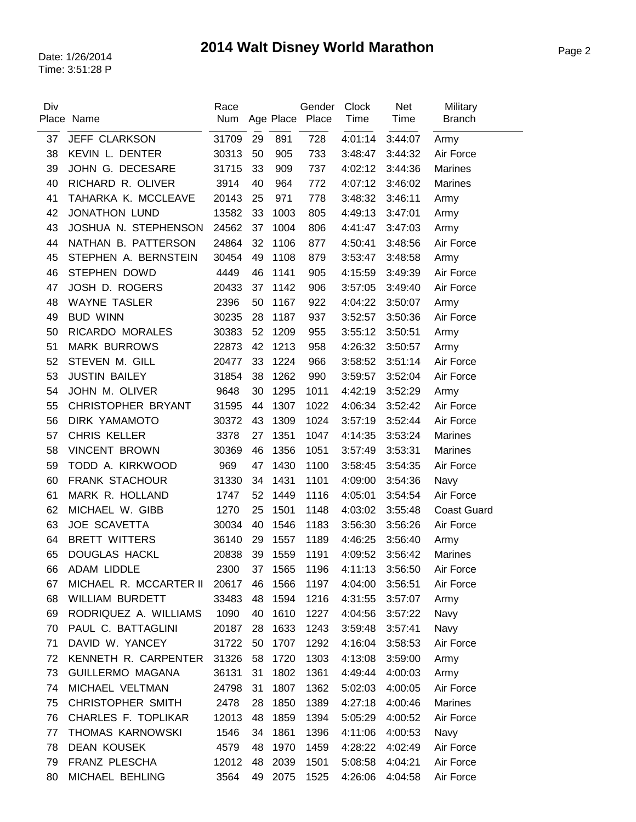| Div | Place Name               | Race  |    |         | Gender<br>Num Age Place Place | <b>Clock</b><br>Time | Net<br>Time | Military<br><b>Branch</b> |
|-----|--------------------------|-------|----|---------|-------------------------------|----------------------|-------------|---------------------------|
| 37  | JEFF CLARKSON            | 31709 | 29 | 891     | 728                           | 4:01:14              | 3:44:07     | Army                      |
| 38  | KEVIN L. DENTER          | 30313 | 50 | 905     | 733                           | 3:48:47              | 3:44:32     | Air Force                 |
| 39  | JOHN G. DECESARE         | 31715 | 33 | 909     | 737                           | 4:02:12              | 3:44:36     | <b>Marines</b>            |
| 40  | RICHARD R. OLIVER        | 3914  | 40 | 964     | 772                           | 4:07:12              | 3:46:02     | <b>Marines</b>            |
| 41  | TAHARKA K. MCCLEAVE      | 20143 | 25 | 971     | 778                           | 3:48:32              | 3:46:11     | Army                      |
| 42  | <b>JONATHON LUND</b>     | 13582 | 33 | 1003    | 805                           | 4:49:13              | 3:47:01     | Army                      |
| 43  | JOSHUA N. STEPHENSON     | 24562 | 37 | 1004    | 806                           | 4:41:47              | 3:47:03     | Army                      |
| 44  | NATHAN B. PATTERSON      | 24864 | 32 | 1106    | 877                           | 4:50:41              | 3:48:56     | Air Force                 |
| 45  | STEPHEN A. BERNSTEIN     | 30454 | 49 | 1108    | 879                           | 3:53:47              | 3:48:58     | Army                      |
| 46  | <b>STEPHEN DOWD</b>      | 4449  | 46 | 1141    | 905                           | 4:15:59              | 3:49:39     | Air Force                 |
| 47  | JOSH D. ROGERS           | 20433 | 37 | 1142    | 906                           | 3:57:05              | 3:49:40     | Air Force                 |
| 48  | <b>WAYNE TASLER</b>      | 2396  | 50 | 1167    | 922                           | 4:04:22              | 3:50:07     | Army                      |
| 49  | <b>BUD WINN</b>          | 30235 | 28 | 1187    | 937                           | 3:52:57              | 3:50:36     | Air Force                 |
| 50  | RICARDO MORALES          | 30383 | 52 | 1209    | 955                           | 3:55:12              | 3:50:51     | Army                      |
| 51  | <b>MARK BURROWS</b>      | 22873 | 42 | 1213    | 958                           | 4:26:32              | 3:50:57     | Army                      |
| 52  | STEVEN M. GILL           | 20477 | 33 | 1224    | 966                           | 3:58:52              | 3:51:14     | Air Force                 |
| 53  | <b>JUSTIN BAILEY</b>     | 31854 | 38 | 1262    | 990                           | 3:59:57              | 3:52:04     | Air Force                 |
| 54  | JOHN M. OLIVER           | 9648  | 30 | 1295    | 1011                          | 4:42:19              | 3:52:29     | Army                      |
| 55  | CHRISTOPHER BRYANT       | 31595 | 44 | 1307    | 1022                          | 4:06:34              | 3:52:42     | Air Force                 |
| 56  | DIRK YAMAMOTO            | 30372 | 43 | 1309    | 1024                          | 3:57:19              | 3:52:44     | Air Force                 |
| 57  | <b>CHRIS KELLER</b>      | 3378  | 27 | 1351    | 1047                          | 4:14:35              | 3:53:24     | <b>Marines</b>            |
| 58  | <b>VINCENT BROWN</b>     | 30369 | 46 | 1356    | 1051                          | 3:57:49              | 3:53:31     | Marines                   |
| 59  | TODD A. KIRKWOOD         | 969   | 47 | 1430    | 1100                          | 3:58:45              | 3:54:35     | Air Force                 |
| 60  | <b>FRANK STACHOUR</b>    | 31330 | 34 | 1431    | 1101                          | 4:09:00              | 3:54:36     | Navy                      |
| 61  | MARK R. HOLLAND          | 1747  | 52 | 1449    | 1116                          | 4:05:01              | 3:54:54     | Air Force                 |
| 62  | MICHAEL W. GIBB          | 1270  | 25 | 1501    | 1148                          | 4:03:02              | 3:55:48     | <b>Coast Guard</b>        |
| 63  | JOE SCAVETTA             | 30034 | 40 | 1546    | 1183                          | 3:56:30              | 3:56:26     | Air Force                 |
| 64  | <b>BRETT WITTERS</b>     | 36140 | 29 | 1557    | 1189                          | 4:46:25              | 3:56:40     | Army                      |
| 65  | <b>DOUGLAS HACKL</b>     | 20838 | 39 | 1559    | 1191                          | 4:09:52              | 3:56:42     | <b>Marines</b>            |
| 66  | <b>ADAM LIDDLE</b>       | 2300  |    | 37 1565 | 1196                          | 4:11:13 3:56:50      |             | Air Force                 |
| 67  | MICHAEL R. MCCARTER II   | 20617 | 46 | 1566    | 1197                          | 4:04:00              | 3:56:51     | Air Force                 |
| 68  | WILLIAM BURDETT          | 33483 | 48 | 1594    | 1216                          | 4:31:55              | 3:57:07     | Army                      |
| 69  | RODRIQUEZ A. WILLIAMS    | 1090  | 40 | 1610    | 1227                          | 4:04:56              | 3:57:22     | Navy                      |
| 70  | PAUL C. BATTAGLINI       | 20187 | 28 | 1633    | 1243                          | 3:59:48              | 3:57:41     | Navy                      |
| 71  | DAVID W. YANCEY          | 31722 | 50 | 1707    | 1292                          | 4:16:04              | 3:58:53     | Air Force                 |
| 72  | KENNETH R. CARPENTER     | 31326 | 58 | 1720    | 1303                          | 4:13:08              | 3:59:00     | Army                      |
| 73  | <b>GUILLERMO MAGANA</b>  | 36131 | 31 | 1802    | 1361                          | 4:49:44              | 4:00:03     | Army                      |
| 74  | MICHAEL VELTMAN          | 24798 | 31 | 1807    | 1362                          | 5:02:03              | 4:00:05     | Air Force                 |
| 75  | <b>CHRISTOPHER SMITH</b> | 2478  | 28 | 1850    | 1389                          | 4:27:18              | 4:00:46     | Marines                   |
| 76  | CHARLES F. TOPLIKAR      | 12013 | 48 | 1859    | 1394                          | 5:05:29              | 4:00:52     | Air Force                 |
| 77  | THOMAS KARNOWSKI         | 1546  | 34 | 1861    | 1396                          | 4:11:06              | 4:00:53     | Navy                      |
| 78  | <b>DEAN KOUSEK</b>       | 4579  | 48 | 1970    | 1459                          | 4:28:22              | 4:02:49     | Air Force                 |
| 79  | FRANZ PLESCHA            | 12012 | 48 | 2039    | 1501                          | 5:08:58              | 4:04:21     | Air Force                 |
| 80  | MICHAEL BEHLING          | 3564  | 49 | 2075    | 1525                          | 4:26:06              | 4:04:58     | Air Force                 |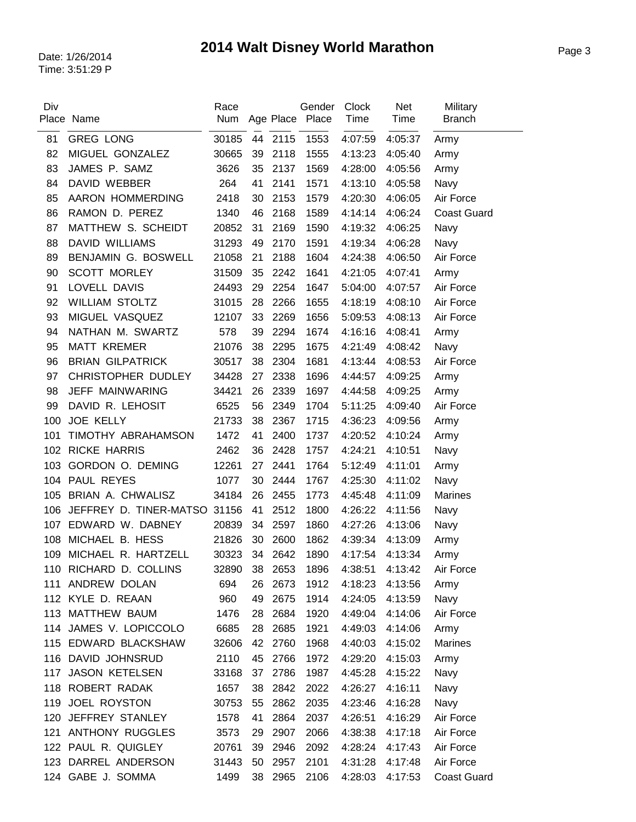| Div | Place Name                   | Race<br>Num   |    |         | Gender<br>Age Place Place | <b>Clock</b><br>Time | Net<br>Time | Military<br><b>Branch</b> |
|-----|------------------------------|---------------|----|---------|---------------------------|----------------------|-------------|---------------------------|
| 81  | <b>GREG LONG</b>             | 30185         |    | 44 2115 | 1553                      | 4:07:59              | 4:05:37     | Army                      |
| 82  | MIGUEL GONZALEZ              | 30665         | 39 | 2118    | 1555                      | 4:13:23              | 4:05:40     | Army                      |
| 83  | JAMES P. SAMZ                | 3626          | 35 | 2137    | 1569                      | 4:28:00              | 4:05:56     | Army                      |
| 84  | <b>DAVID WEBBER</b>          | 264           | 41 | 2141    | 1571                      | 4:13:10              | 4:05:58     | Navy                      |
| 85  | AARON HOMMERDING             | 2418          | 30 | 2153    | 1579                      | 4:20:30              | 4:06:05     | Air Force                 |
| 86  | RAMON D. PEREZ               | 1340          | 46 | 2168    | 1589                      | 4:14:14              | 4:06:24     | <b>Coast Guard</b>        |
| 87  | MATTHEW S. SCHEIDT           | 20852         | 31 | 2169    | 1590                      | 4:19:32              | 4:06:25     | Navy                      |
| 88  | <b>DAVID WILLIAMS</b>        | 31293         | 49 | 2170    | 1591                      | 4:19:34              | 4:06:28     | Navy                      |
| 89  | BENJAMIN G. BOSWELL          | 21058         | 21 | 2188    | 1604                      | 4:24:38              | 4:06:50     | Air Force                 |
| 90  | <b>SCOTT MORLEY</b>          | 31509         | 35 | 2242    | 1641                      | 4:21:05              | 4:07:41     | Army                      |
| 91  | LOVELL DAVIS                 | 24493         | 29 | 2254    | 1647                      | 5:04:00              | 4:07:57     | Air Force                 |
| 92  | <b>WILLIAM STOLTZ</b>        | 31015         | 28 | 2266    | 1655                      | 4:18:19              | 4:08:10     | Air Force                 |
| 93  | MIGUEL VASQUEZ               | 12107         | 33 | 2269    | 1656                      | 5:09:53              | 4:08:13     | Air Force                 |
| 94  | NATHAN M. SWARTZ             | 578           | 39 | 2294    | 1674                      | 4:16:16              | 4:08:41     | Army                      |
| 95  | <b>MATT KREMER</b>           | 21076         | 38 | 2295    | 1675                      | 4:21:49              | 4:08:42     | Navy                      |
| 96  | <b>BRIAN GILPATRICK</b>      | 30517         | 38 | 2304    | 1681                      | 4:13:44              | 4:08:53     | Air Force                 |
| 97  | CHRISTOPHER DUDLEY           | 34428         | 27 | 2338    | 1696                      | 4:44:57              | 4:09:25     | Army                      |
| 98  | JEFF MAINWARING              | 34421         | 26 | 2339    | 1697                      | 4:44:58              | 4:09:25     | Army                      |
| 99  | DAVID R. LEHOSIT             | 6525          | 56 | 2349    | 1704                      | 5:11:25              | 4:09:40     | Air Force                 |
| 100 | <b>JOE KELLY</b>             | 21733         | 38 | 2367    | 1715                      | 4:36:23              | 4:09:56     | Army                      |
| 101 | TIMOTHY ABRAHAMSON           | 1472          | 41 | 2400    | 1737                      | 4:20:52              | 4:10:24     | Army                      |
| 102 | <b>RICKE HARRIS</b>          | 2462          | 36 | 2428    | 1757                      | 4:24:21              | 4:10:51     | Navy                      |
| 103 | GORDON O. DEMING             | 12261         | 27 | 2441    | 1764                      | 5:12:49              | 4:11:01     | Army                      |
|     | 104 PAUL REYES               | 1077          | 30 | 2444    | 1767                      | 4:25:30              | 4:11:02     | Navy                      |
|     | 105 BRIAN A. CHWALISZ        | 34184         | 26 | 2455    | 1773                      | 4:45:48              | 4:11:09     | <b>Marines</b>            |
| 106 | JEFFREY D. TINER-MATSO 31156 |               | 41 | 2512    | 1800                      | 4:26:22              | 4:11:56     | Navy                      |
| 107 | EDWARD W. DABNEY             | 20839         | 34 | 2597    | 1860                      | 4:27:26              | 4:13:06     | Navy                      |
| 108 | MICHAEL B. HESS              | 21826         | 30 | 2600    | 1862                      | 4:39:34              | 4:13:09     | Army                      |
|     | 109 MICHAEL R. HARTZELL      | 30323         |    | 34 2642 | 1890                      | 4:17:54              | 4:13:34     | Army                      |
| 110 | RICHARD D. COLLINS           | 32890 38 2653 |    |         | 1896                      | 4:38:51              | 4:13:42     | Air Force                 |
| 111 | ANDREW DOLAN                 | 694           | 26 | 2673    | 1912                      | 4:18:23              | 4:13:56     | Army                      |
|     | 112 KYLE D. REAAN            | 960           | 49 | 2675    | 1914                      | 4:24:05              | 4:13:59     | Navy                      |
|     | 113 MATTHEW BAUM             | 1476          | 28 | 2684    | 1920                      | 4:49:04              | 4:14:06     | Air Force                 |
|     | 114 JAMES V. LOPICCOLO       | 6685          | 28 | 2685    | 1921                      | 4:49:03              | 4:14:06     | Army                      |
|     | 115 EDWARD BLACKSHAW         | 32606         | 42 | 2760    | 1968                      | 4:40:03              | 4:15:02     | <b>Marines</b>            |
|     | 116 DAVID JOHNSRUD           | 2110          | 45 | 2766    | 1972                      | 4:29:20              | 4:15:03     | Army                      |
| 117 | <b>JASON KETELSEN</b>        | 33168         | 37 | 2786    | 1987                      | 4:45:28              | 4:15:22     | Navy                      |
|     | 118 ROBERT RADAK             | 1657          | 38 | 2842    | 2022                      | 4:26:27              | 4:16:11     | Navy                      |
| 119 | JOEL ROYSTON                 | 30753         | 55 | 2862    | 2035                      | 4:23:46              | 4:16:28     | Navy                      |
| 120 | JEFFREY STANLEY              | 1578          | 41 | 2864    | 2037                      | 4:26:51              | 4:16:29     | Air Force                 |
| 121 | <b>ANTHONY RUGGLES</b>       | 3573          | 29 | 2907    | 2066                      | 4:38:38              | 4:17:18     | Air Force                 |
|     | 122 PAUL R. QUIGLEY          | 20761         | 39 | 2946    | 2092                      | 4:28:24              | 4:17:43     | Air Force                 |
|     | 123 DARREL ANDERSON          | 31443         | 50 | 2957    | 2101                      | 4:31:28              | 4:17:48     | Air Force                 |
|     | 124 GABE J. SOMMA            | 1499          | 38 | 2965    | 2106                      | 4:28:03              | 4:17:53     | <b>Coast Guard</b>        |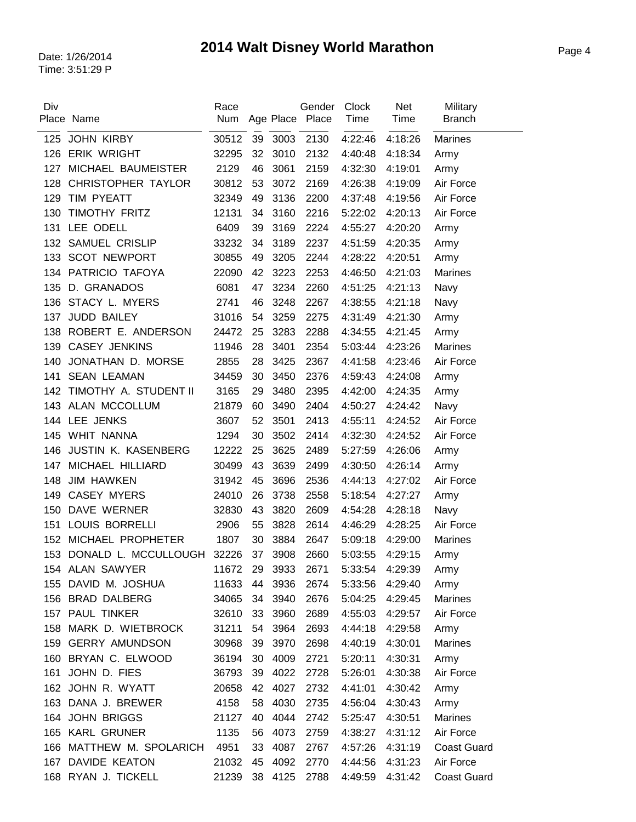| Div | Place Name                                  | Race<br>Num    |    |      | Gender<br>Age Place Place | Clock<br>Time      | Net<br>Time | Military<br><b>Branch</b> |
|-----|---------------------------------------------|----------------|----|------|---------------------------|--------------------|-------------|---------------------------|
| 125 | JOHN KIRBY                                  | 30512          | 39 | 3003 | 2130                      | 4:22:46            | 4:18:26     | <b>Marines</b>            |
| 126 | <b>ERIK WRIGHT</b>                          | 32295          | 32 | 3010 | 2132                      | 4:40:48            | 4:18:34     | Army                      |
| 127 | MICHAEL BAUMEISTER                          | 2129           | 46 | 3061 | 2159                      | 4:32:30            | 4:19:01     | Army                      |
| 128 | CHRISTOPHER TAYLOR                          | 30812          | 53 | 3072 | 2169                      | 4:26:38            | 4:19:09     | Air Force                 |
| 129 | TIM PYEATT                                  | 32349          | 49 | 3136 | 2200                      | 4:37:48            | 4:19:56     | Air Force                 |
| 130 | TIMOTHY FRITZ                               | 12131          | 34 | 3160 | 2216                      | 5:22:02            | 4:20:13     | Air Force                 |
| 131 | LEE ODELL                                   | 6409           | 39 | 3169 | 2224                      | 4:55:27            | 4:20:20     | Army                      |
| 132 | <b>SAMUEL CRISLIP</b>                       | 33232          | 34 | 3189 | 2237                      | 4:51:59            | 4:20:35     | Army                      |
| 133 | <b>SCOT NEWPORT</b>                         | 30855          | 49 | 3205 | 2244                      | 4:28:22            | 4:20:51     | Army                      |
| 134 | PATRICIO TAFOYA                             | 22090          | 42 | 3223 | 2253                      | 4:46:50            | 4:21:03     | <b>Marines</b>            |
| 135 | D. GRANADOS                                 | 6081           | 47 | 3234 | 2260                      |                    |             |                           |
| 136 | STACY L. MYERS                              | 2741           | 46 | 3248 | 2267                      | 4:51:25<br>4:38:55 | 4:21:13     | Navy                      |
| 137 | JUDD BAILEY                                 | 31016          | 54 | 3259 | 2275                      |                    | 4:21:18     | Navy                      |
|     |                                             |                |    |      |                           | 4:31:49            | 4:21:30     | Army                      |
| 138 | ROBERT E. ANDERSON<br><b>CASEY JENKINS</b>  | 24472<br>11946 | 25 | 3283 | 2288                      | 4:34:55            | 4:21:45     | Army<br><b>Marines</b>    |
| 139 |                                             |                | 28 | 3401 | 2354                      | 5:03:44            | 4:23:26     |                           |
| 140 | JONATHAN D. MORSE                           | 2855           | 28 | 3425 | 2367                      | 4:41:58            | 4:23:46     | Air Force                 |
| 141 | <b>SEAN LEAMAN</b><br>TIMOTHY A. STUDENT II | 34459          | 30 | 3450 | 2376                      | 4:59:43            | 4:24:08     | Army                      |
| 142 |                                             | 3165           | 29 | 3480 | 2395                      | 4:42:00            | 4:24:35     | Army                      |
|     | 143 ALAN MCCOLLUM                           | 21879          | 60 | 3490 | 2404                      | 4:50:27            | 4:24:42     | Navy                      |
|     | 144 LEE JENKS                               | 3607           | 52 | 3501 | 2413                      | 4:55:11            | 4:24:52     | Air Force                 |
| 145 | WHIT NANNA                                  | 1294           | 30 | 3502 | 2414                      | 4:32:30            | 4:24:52     | Air Force                 |
| 146 | <b>JUSTIN K. KASENBERG</b>                  | 12222          | 25 | 3625 | 2489                      | 5:27:59            | 4:26:06     | Army                      |
| 147 | MICHAEL HILLIARD                            | 30499          | 43 | 3639 | 2499                      | 4:30:50            | 4:26:14     | Army                      |
| 148 | <b>JIM HAWKEN</b>                           | 31942          | 45 | 3696 | 2536                      | 4:44:13            | 4:27:02     | Air Force                 |
| 149 | <b>CASEY MYERS</b>                          | 24010          | 26 | 3738 | 2558                      | 5:18:54            | 4:27:27     | Army                      |
| 150 | DAVE WERNER                                 | 32830          | 43 | 3820 | 2609                      | 4:54:28            | 4:28:18     | Navy                      |
| 151 | <b>LOUIS BORRELLI</b>                       | 2906           | 55 | 3828 | 2614                      | 4:46:29            | 4:28:25     | Air Force                 |
| 152 | MICHAEL PROPHETER                           | 1807           | 30 | 3884 | 2647                      | 5:09:18            | 4:29:00     | <b>Marines</b>            |
|     | 153 DONALD L. MCCULLOUGH                    | 32226          | 37 | 3908 | 2660                      | 5:03:55            | 4:29:15     | Army                      |
|     | 154 ALAN SAWYER                             | 11672          | 29 | 3933 | 2671                      | 5:33:54            | 4:29:39     | Army                      |
|     | 155 DAVID M. JOSHUA                         | 11633          | 44 | 3936 | 2674                      | 5:33:56            | 4:29:40     | Army                      |
|     | 156 BRAD DALBERG                            | 34065          | 34 | 3940 | 2676                      | 5:04:25            | 4:29:45     | <b>Marines</b>            |
|     | 157 PAUL TINKER                             | 32610          | 33 | 3960 | 2689                      | 4:55:03            | 4:29:57     | Air Force                 |
|     | 158 MARK D. WIETBROCK                       | 31211          | 54 | 3964 | 2693                      | 4:44:18            | 4:29:58     | Army                      |
|     | 159 GERRY AMUNDSON                          | 30968          | 39 | 3970 | 2698                      | 4:40:19            | 4:30:01     | <b>Marines</b>            |
|     | 160 BRYAN C. ELWOOD                         | 36194          | 30 | 4009 | 2721                      | 5:20:11            | 4:30:31     | Army                      |
| 161 | JOHN D. FIES                                | 36793          | 39 | 4022 | 2728                      | 5:26:01            | 4:30:38     | Air Force                 |
|     | 162 JOHN R. WYATT                           | 20658          | 42 | 4027 | 2732                      | 4:41:01            | 4:30:42     | Army                      |
|     | 163 DANA J. BREWER                          | 4158           | 58 | 4030 | 2735                      | 4:56:04            | 4:30:43     | Army                      |
| 164 | <b>JOHN BRIGGS</b>                          | 21127          | 40 | 4044 | 2742                      | 5:25:47            | 4:30:51     | Marines                   |
|     | 165 KARL GRUNER                             | 1135           | 56 | 4073 | 2759                      | 4:38:27            | 4:31:12     | Air Force                 |
|     | 166 MATTHEW M. SPOLARICH                    | 4951           | 33 | 4087 | 2767                      | 4:57:26            | 4:31:19     | <b>Coast Guard</b>        |
|     | 167 DAVIDE KEATON                           | 21032          | 45 | 4092 | 2770                      | 4:44:56            | 4:31:23     | Air Force                 |
|     | 168 RYAN J. TICKELL                         | 21239          | 38 | 4125 | 2788                      | 4:49:59            | 4:31:42     | <b>Coast Guard</b>        |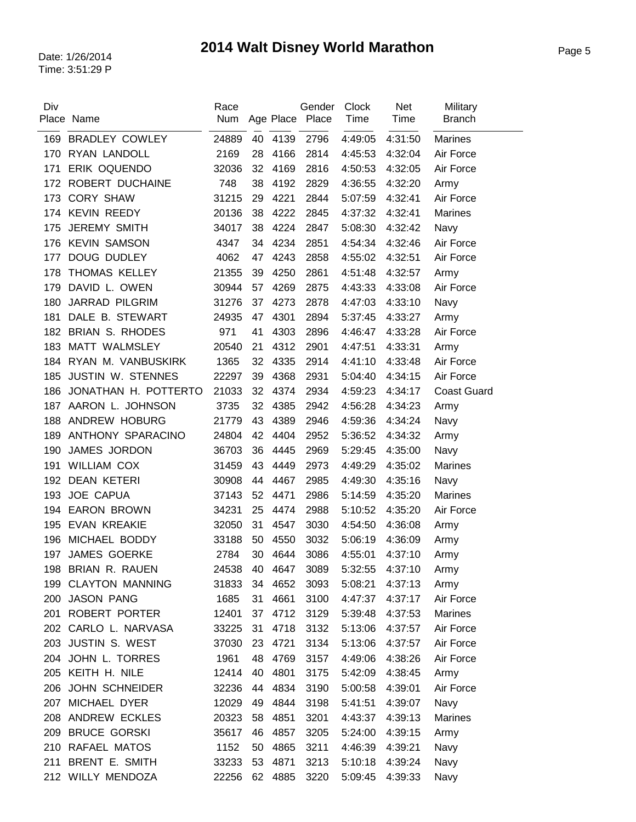| Div | Place Name               | Race<br>Num |    | Age Place | Gender<br>Place | Clock<br>Time | <b>Net</b><br>Time | Military<br><b>Branch</b> |
|-----|--------------------------|-------------|----|-----------|-----------------|---------------|--------------------|---------------------------|
| 169 | <b>BRADLEY COWLEY</b>    | 24889       | 40 | 4139      | 2796            | 4:49:05       | 4:31:50            | <b>Marines</b>            |
| 170 | RYAN LANDOLL             | 2169        | 28 | 4166      | 2814            | 4:45:53       | 4:32:04            | Air Force                 |
| 171 | ERIK OQUENDO             | 32036       | 32 | 4169      | 2816            | 4:50:53       | 4:32:05            | Air Force                 |
| 172 | ROBERT DUCHAINE          | 748         | 38 | 4192      | 2829            | 4:36:55       | 4:32:20            | Army                      |
| 173 | <b>CORY SHAW</b>         | 31215       | 29 | 4221      | 2844            | 5:07:59       | 4:32:41            | Air Force                 |
|     | 174 KEVIN REEDY          | 20136       | 38 | 4222      | 2845            | 4:37:32       | 4:32:41            | <b>Marines</b>            |
| 175 | <b>JEREMY SMITH</b>      | 34017       | 38 | 4224      | 2847            | 5:08:30       | 4:32:42            | Navy                      |
| 176 | <b>KEVIN SAMSON</b>      | 4347        | 34 | 4234      | 2851            | 4:54:34       | 4:32:46            | Air Force                 |
| 177 | DOUG DUDLEY              | 4062        | 47 | 4243      | 2858            | 4:55:02       | 4:32:51            | Air Force                 |
| 178 | THOMAS KELLEY            | 21355       | 39 | 4250      | 2861            | 4:51:48       | 4:32:57            | Army                      |
| 179 | DAVID L. OWEN            | 30944       | 57 | 4269      | 2875            | 4:43:33       | 4:33:08            | Air Force                 |
| 180 | <b>JARRAD PILGRIM</b>    | 31276       | 37 | 4273      | 2878            | 4:47:03       | 4:33:10            | Navy                      |
| 181 | DALE B. STEWART          | 24935       | 47 | 4301      | 2894            | 5:37:45       | 4:33:27            | Army                      |
| 182 | <b>BRIAN S. RHODES</b>   | 971         | 41 | 4303      | 2896            | 4:46:47       | 4:33:28            | Air Force                 |
| 183 | MATT WALMSLEY            | 20540       | 21 | 4312      | 2901            | 4:47:51       | 4:33:31            | Army                      |
| 184 | RYAN M. VANBUSKIRK       | 1365        | 32 | 4335      | 2914            | 4:41:10       | 4:33:48            | Air Force                 |
| 185 | <b>JUSTIN W. STENNES</b> | 22297       | 39 | 4368      | 2931            | 5:04:40       | 4:34:15            | Air Force                 |
| 186 | JONATHAN H. POTTERTO     | 21033       | 32 | 4374      | 2934            | 4:59:23       | 4:34:17            | <b>Coast Guard</b>        |
| 187 | AARON L. JOHNSON         | 3735        | 32 | 4385      | 2942            | 4:56:28       | 4:34:23            | Army                      |
| 188 | ANDREW HOBURG            | 21779       | 43 | 4389      | 2946            | 4:59:36       | 4:34:24            | Navy                      |
| 189 | ANTHONY SPARACINO        | 24804       | 42 | 4404      | 2952            | 5:36:52       | 4:34:32            | Army                      |
| 190 | JAMES JORDON             | 36703       | 36 | 4445      | 2969            | 5:29:45       | 4:35:00            | Navy                      |
| 191 | <b>WILLIAM COX</b>       | 31459       | 43 | 4449      | 2973            | 4:49:29       | 4:35:02            | <b>Marines</b>            |
| 192 | <b>DEAN KETERI</b>       | 30908       | 44 | 4467      | 2985            | 4:49:30       | 4:35:16            | Navy                      |
| 193 | <b>JOE CAPUA</b>         | 37143       | 52 | 4471      | 2986            | 5:14:59       | 4:35:20            | <b>Marines</b>            |
| 194 | <b>EARON BROWN</b>       | 34231       | 25 | 4474      | 2988            | 5:10:52       | 4:35:20            | Air Force                 |
| 195 | <b>EVAN KREAKIE</b>      | 32050       | 31 | 4547      | 3030            | 4:54:50       | 4:36:08            | Army                      |
| 196 | MICHAEL BODDY            | 33188       | 50 | 4550      | 3032            | 5:06:19       | 4:36:09            | Army                      |
| 197 | <b>JAMES GOERKE</b>      | 2784        | 30 | 4644      | 3086            | 4:55:01       | 4:37:10            | Army                      |
|     | 198 BRIAN R. RAUEN       | 24538       | 40 | 4647      | 3089            | 5:32:55       | 4:37:10            | Army                      |
| 199 | <b>CLAYTON MANNING</b>   | 31833       | 34 | 4652      | 3093            | 5:08:21       | 4:37:13            | Army                      |
| 200 | <b>JASON PANG</b>        | 1685        | 31 | 4661      | 3100            | 4:47:37       | 4:37:17            | Air Force                 |
| 201 | <b>ROBERT PORTER</b>     | 12401       | 37 | 4712      | 3129            | 5:39:48       | 4:37:53            | Marines                   |
|     | 202 CARLO L. NARVASA     | 33225       | 31 | 4718      | 3132            | 5:13:06       | 4:37:57            | Air Force                 |
|     | 203 JUSTIN S. WEST       | 37030       | 23 | 4721      | 3134            | 5:13:06       | 4:37:57            | Air Force                 |
|     | 204 JOHN L. TORRES       | 1961        | 48 | 4769      | 3157            | 4:49:06       | 4:38:26            | Air Force                 |
|     | 205 KEITH H. NILE        | 12414       | 40 | 4801      | 3175            | 5:42:09       | 4:38:45            | Army                      |
|     | 206 JOHN SCHNEIDER       | 32236       | 44 | 4834      | 3190            | 5:00:58       | 4:39:01            | Air Force                 |
| 207 | MICHAEL DYER             | 12029       | 49 | 4844      | 3198            | 5:41:51       | 4:39:07            | Navy                      |
|     | 208 ANDREW ECKLES        | 20323       | 58 | 4851      | 3201            | 4:43:37       | 4:39:13            | <b>Marines</b>            |
| 209 | <b>BRUCE GORSKI</b>      | 35617       | 46 | 4857      | 3205            | 5:24:00       | 4:39:15            | Army                      |
|     | 210 RAFAEL MATOS         | 1152        | 50 | 4865      | 3211            | 4:46:39       | 4:39:21            | Navy                      |
| 211 | <b>BRENT E. SMITH</b>    | 33233       | 53 | 4871      | 3213            | 5:10:18       | 4:39:24            | Navy                      |
|     | 212 WILLY MENDOZA        | 22256       | 62 | 4885      | 3220            | 5:09:45       | 4:39:33            | Navy                      |
|     |                          |             |    |           |                 |               |                    |                           |

 $\overline{a}$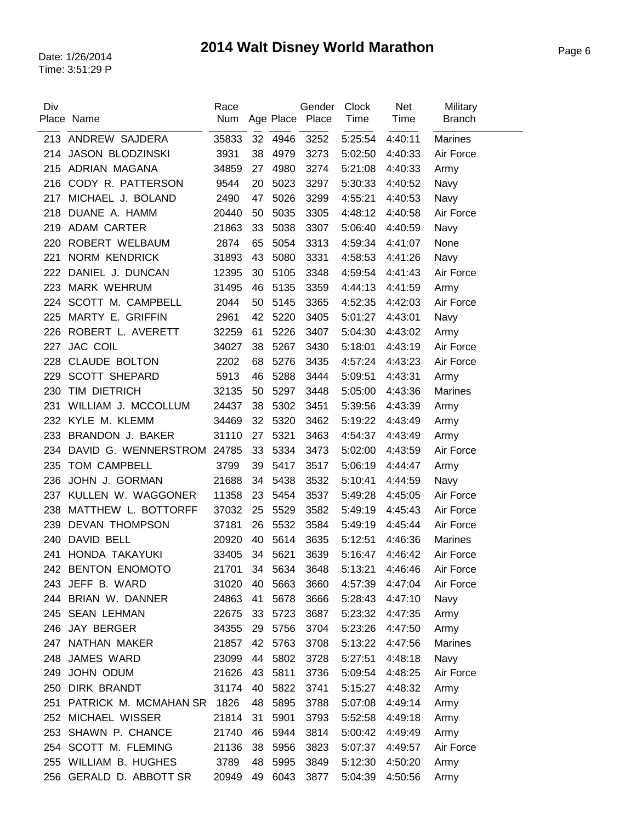| Div | Place Name              | Race<br>Num |    | Age Place | Gender<br>Place | Clock<br>Time | <b>Net</b><br>Time | Military<br><b>Branch</b> |
|-----|-------------------------|-------------|----|-----------|-----------------|---------------|--------------------|---------------------------|
|     | 213 ANDREW SAJDERA      | 35833       | 32 | 4946      | 3252            | 5:25:54       | 4:40:11            | <b>Marines</b>            |
| 214 | <b>JASON BLODZINSKI</b> | 3931        | 38 | 4979      | 3273            | 5:02:50       | 4:40:33            | Air Force                 |
| 215 | ADRIAN MAGANA           | 34859       | 27 | 4980      | 3274            | 5:21:08       | 4:40:33            | Army                      |
| 216 | CODY R. PATTERSON       | 9544        | 20 | 5023      | 3297            | 5:30:33       | 4:40:52            | Navy                      |
| 217 | MICHAEL J. BOLAND       | 2490        | 47 | 5026      | 3299            | 4:55:21       | 4:40:53            | Navy                      |
| 218 | DUANE A. HAMM           | 20440       | 50 | 5035      | 3305            | 4:48:12       | 4:40:58            | Air Force                 |
| 219 | <b>ADAM CARTER</b>      | 21863       | 33 | 5038      | 3307            | 5:06:40       | 4:40:59            | Navy                      |
| 220 | ROBERT WELBAUM          | 2874        | 65 | 5054      | 3313            | 4:59:34       | 4:41:07            | None                      |
| 221 | <b>NORM KENDRICK</b>    | 31893       | 43 | 5080      | 3331            | 4:58:53       | 4:41:26            | Navy                      |
| 222 | DANIEL J. DUNCAN        | 12395       | 30 | 5105      | 3348            | 4:59:54       | 4:41:43            | Air Force                 |
| 223 | <b>MARK WEHRUM</b>      | 31495       | 46 | 5135      | 3359            | 4:44:13       | 4:41:59            | Army                      |
| 224 | SCOTT M. CAMPBELL       | 2044        | 50 | 5145      | 3365            | 4:52:35       | 4:42:03            | Air Force                 |
| 225 | MARTY E. GRIFFIN        | 2961        | 42 | 5220      | 3405            | 5:01:27       | 4:43:01            | Navy                      |
| 226 | ROBERT L. AVERETT       | 32259       | 61 | 5226      | 3407            | 5:04:30       | 4:43:02            | Army                      |
| 227 | <b>JAC COIL</b>         | 34027       | 38 | 5267      | 3430            | 5:18:01       | 4:43:19            | Air Force                 |
| 228 | <b>CLAUDE BOLTON</b>    | 2202        | 68 | 5276      | 3435            | 4:57:24       | 4:43:23            | Air Force                 |
| 229 | <b>SCOTT SHEPARD</b>    | 5913        | 46 | 5288      | 3444            | 5:09:51       | 4:43:31            | Army                      |
| 230 | TIM DIETRICH            | 32135       | 50 | 5297      | 3448            | 5:05:00       | 4:43:36            | Marines                   |
| 231 | WILLIAM J. MCCOLLUM     | 24437       | 38 | 5302      | 3451            | 5:39:56       | 4:43:39            | Army                      |
| 232 | KYLE M. KLEMM           | 34469       | 32 | 5320      | 3462            | 5:19:22       | 4:43:49            | Army                      |
| 233 | BRANDON J. BAKER        | 31110       | 27 | 5321      | 3463            | 4:54:37       | 4:43:49            | Army                      |
| 234 | DAVID G. WENNERSTROM    | 24785       | 33 | 5334      | 3473            | 5:02:00       | 4:43:59            | Air Force                 |
| 235 | TOM CAMPBELL            | 3799        | 39 | 5417      | 3517            | 5:06:19       | 4:44:47            | Army                      |
| 236 | JOHN J. GORMAN          | 21688       | 34 | 5438      | 3532            | 5:10:41       | 4:44:59            | Navy                      |
| 237 | KULLEN W. WAGGONER      | 11358       | 23 | 5454      | 3537            | 5:49:28       | 4:45:05            | Air Force                 |
| 238 | MATTHEW L. BOTTORFF     | 37032       | 25 | 5529      | 3582            | 5:49:19       | 4:45:43            | Air Force                 |
| 239 | <b>DEVAN THOMPSON</b>   | 37181       | 26 | 5532      | 3584            | 5:49:19       | 4:45:44            | Air Force                 |
| 240 | DAVID BELL              | 20920       | 40 | 5614      | 3635            | 5:12:51       | 4:46:36            | <b>Marines</b>            |
| 241 | HONDA TAKAYUKI          | 33405       | 34 | 5621      | 3639            | 5:16:47       | 4:46:42            | Air Force                 |
|     | 242 BENTON ENOMOTO      | 21701       | 34 | 5634      | 3648            | 5:13:21       | 4:46:46            | Air Force                 |
|     | 243 JEFF B. WARD        | 31020       | 40 | 5663      | 3660            | 4:57:39       | 4:47:04            | Air Force                 |
|     | 244 BRIAN W. DANNER     | 24863       | 41 | 5678      | 3666            | 5:28:43       | 4:47:10            | Navy                      |
|     | 245 SEAN LEHMAN         | 22675       | 33 | 5723      | 3687            | 5:23:32       | 4:47:35            | Army                      |
|     | 246 JAY BERGER          | 34355       | 29 | 5756      | 3704            | 5:23:26       | 4:47:50            | Army                      |
| 247 | NATHAN MAKER            | 21857       | 42 | 5763      | 3708            | 5:13:22       | 4:47:56            | Marines                   |
| 248 | <b>JAMES WARD</b>       | 23099       | 44 | 5802      | 3728            | 5:27:51       | 4:48:18            | Navy                      |
|     | 249 JOHN ODUM           | 21626       | 43 | 5811      | 3736            | 5:09:54       | 4:48:25            | Air Force                 |
| 250 | <b>DIRK BRANDT</b>      | 31174       | 40 | 5822      | 3741            | 5:15:27       | 4:48:32            | Army                      |
| 251 | PATRICK M. MCMAHAN SR   | 1826        | 48 | 5895      | 3788            | 5:07:08       | 4:49:14            | Army                      |
|     | 252 MICHAEL WISSER      | 21814       | 31 | 5901      | 3793            | 5:52:58       | 4:49:18            | Army                      |
| 253 | SHAWN P. CHANCE         | 21740       | 46 | 5944      | 3814            | 5:00:42       | 4:49:49            | Army                      |
|     | 254 SCOTT M. FLEMING    | 21136       | 38 | 5956      | 3823            | 5:07:37       | 4:49:57            | Air Force                 |
|     | 255 WILLIAM B. HUGHES   | 3789        | 48 | 5995      | 3849            | 5:12:30       | 4:50:20            | Army                      |
| 256 | GERALD D. ABBOTT SR     | 20949       | 49 | 6043      | 3877            | 5:04:39       | 4:50:56            | Army                      |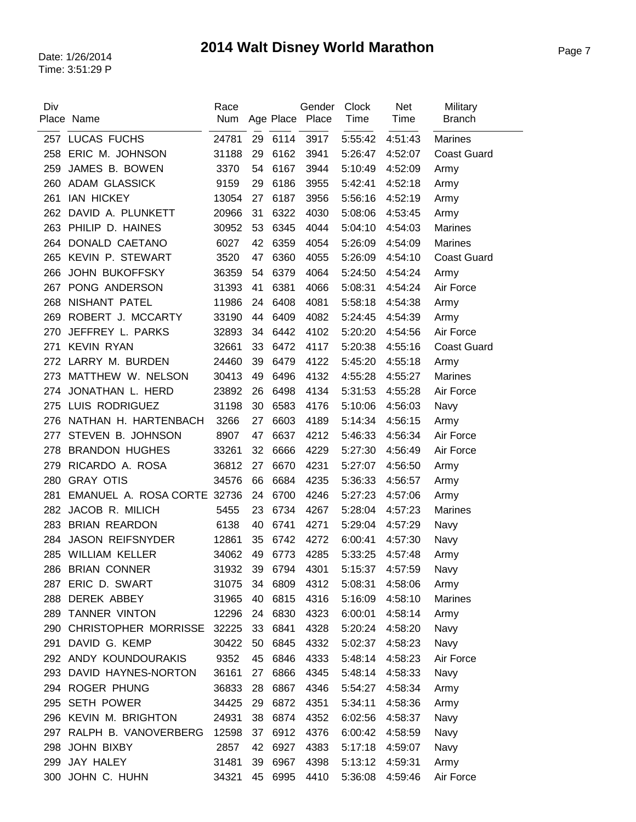| Div | Place Name                  | Race<br>Num |    |         | Gender<br>Age Place Place | <b>Clock</b><br>Time | Net<br>Time | Military<br><b>Branch</b> |
|-----|-----------------------------|-------------|----|---------|---------------------------|----------------------|-------------|---------------------------|
|     |                             |             |    |         |                           |                      |             |                           |
| 257 | LUCAS FUCHS                 | 24781       | 29 | 6114    | 3917                      | 5:55:42              | 4:51:43     | <b>Marines</b>            |
| 258 | ERIC M. JOHNSON             | 31188       | 29 | 6162    | 3941                      | 5:26:47              | 4:52:07     | <b>Coast Guard</b>        |
| 259 | JAMES B. BOWEN              | 3370        | 54 | 6167    | 3944                      | 5:10:49              | 4:52:09     | Army                      |
| 260 | <b>ADAM GLASSICK</b>        | 9159        | 29 | 6186    | 3955                      | 5:42:41              | 4:52:18     | Army                      |
| 261 | <b>IAN HICKEY</b>           | 13054       | 27 | 6187    | 3956                      | 5:56:16              | 4:52:19     | Army                      |
| 262 | DAVID A. PLUNKETT           | 20966       | 31 | 6322    | 4030                      | 5:08:06              | 4:53:45     | Army                      |
| 263 | PHILIP D. HAINES            | 30952       | 53 | 6345    | 4044                      | 5:04:10              | 4:54:03     | <b>Marines</b>            |
| 264 | DONALD CAETANO              | 6027        | 42 | 6359    | 4054                      | 5:26:09              | 4:54:09     | <b>Marines</b>            |
| 265 | KEVIN P. STEWART            | 3520        | 47 | 6360    | 4055                      | 5:26:09              | 4:54:10     | <b>Coast Guard</b>        |
| 266 | <b>JOHN BUKOFFSKY</b>       | 36359       | 54 | 6379    | 4064                      | 5:24:50              | 4:54:24     | Army                      |
| 267 | PONG ANDERSON               | 31393       | 41 | 6381    | 4066                      | 5:08:31              | 4:54:24     | Air Force                 |
| 268 | NISHANT PATEL               | 11986       | 24 | 6408    | 4081                      | 5:58:18              | 4:54:38     | Army                      |
| 269 | ROBERT J. MCCARTY           | 33190       | 44 | 6409    | 4082                      | 5:24:45              | 4:54:39     | Army                      |
| 270 | JEFFREY L. PARKS            | 32893       | 34 | 6442    | 4102                      | 5:20:20              | 4:54:56     | Air Force                 |
| 271 | <b>KEVIN RYAN</b>           | 32661       | 33 | 6472    | 4117                      | 5:20:38              | 4:55:16     | <b>Coast Guard</b>        |
| 272 | LARRY M. BURDEN             | 24460       | 39 | 6479    | 4122                      | 5:45:20              | 4:55:18     | Army                      |
| 273 | MATTHEW W. NELSON           | 30413       | 49 | 6496    | 4132                      | 4:55:28              | 4:55:27     | Marines                   |
| 274 | JONATHAN L. HERD            | 23892       | 26 | 6498    | 4134                      | 5:31:53              | 4:55:28     | Air Force                 |
| 275 | LUIS RODRIGUEZ              | 31198       | 30 | 6583    | 4176                      | 5:10:06              | 4:56:03     | Navy                      |
| 276 | NATHAN H. HARTENBACH        | 3266        | 27 | 6603    | 4189                      | 5:14:34              | 4:56:15     | Army                      |
| 277 | STEVEN B. JOHNSON           | 8907        | 47 | 6637    | 4212                      | 5:46:33              | 4:56:34     | Air Force                 |
| 278 | <b>BRANDON HUGHES</b>       | 33261       | 32 | 6666    | 4229                      | 5:27:30              | 4:56:49     | Air Force                 |
| 279 | RICARDO A. ROSA             | 36812       | 27 | 6670    | 4231                      | 5:27:07              | 4:56:50     | Army                      |
| 280 | <b>GRAY OTIS</b>            | 34576       | 66 | 6684    | 4235                      | 5:36:33              | 4:56:57     | Army                      |
| 281 | EMANUEL A. ROSA CORTE 32736 |             | 24 | 6700    | 4246                      | 5:27:23              | 4:57:06     | Army                      |
| 282 | JACOB R. MILICH             | 5455        | 23 | 6734    | 4267                      | 5:28:04              | 4:57:23     | <b>Marines</b>            |
| 283 | <b>BRIAN REARDON</b>        | 6138        | 40 | 6741    | 4271                      | 5:29:04              | 4:57:29     | Navy                      |
| 284 | <b>JASON REIFSNYDER</b>     | 12861       | 35 | 6742    | 4272                      | 6:00:41              | 4:57:30     | Navy                      |
| 285 | <b>WILLIAM KELLER</b>       | 34062       | 49 | 6773    | 4285                      | 5:33:25              | 4:57:48     | Army                      |
| 286 | <b>BRIAN CONNER</b>         | 31932       |    | 39 6794 | 4301                      | 5:15:37              | 4:57:59     | Navy                      |
| 287 | ERIC D. SWART               | 31075       | 34 | 6809    | 4312                      | 5:08:31              | 4:58:06     | Army                      |
| 288 | DEREK ABBEY                 | 31965       | 40 | 6815    | 4316                      | 5:16:09              | 4:58:10     | Marines                   |
| 289 | TANNER VINTON               | 12296       | 24 | 6830    | 4323                      | 6:00:01              | 4:58:14     | Army                      |
| 290 | CHRISTOPHER MORRISSE 32225  |             | 33 | 6841    | 4328                      | 5:20:24              | 4:58:20     | Navy                      |
| 291 | DAVID G. KEMP               | 30422       | 50 | 6845    | 4332                      | 5:02:37              | 4:58:23     | Navy                      |
|     | 292 ANDY KOUNDOURAKIS       | 9352        | 45 | 6846    | 4333                      | 5:48:14              | 4:58:23     | Air Force                 |
|     | 293 DAVID HAYNES-NORTON     | 36161       | 27 | 6866    | 4345                      | 5:48:14              | 4:58:33     | Navy                      |
|     | 294 ROGER PHUNG             | 36833       | 28 | 6867    | 4346                      | 5:54:27              | 4:58:34     | Army                      |
| 295 | <b>SETH POWER</b>           | 34425       | 29 | 6872    | 4351                      | 5:34:11              | 4:58:36     | Army                      |
|     | 296 KEVIN M. BRIGHTON       | 24931       | 38 | 6874    | 4352                      | 6:02:56              | 4:58:37     | Navy                      |
| 297 | RALPH B. VANOVERBERG        | 12598       | 37 | 6912    | 4376                      | 6:00:42              | 4:58:59     | Navy                      |
| 298 | JOHN BIXBY                  | 2857        | 42 | 6927    | 4383                      | 5:17:18              | 4:59:07     | Navy                      |
| 299 | JAY HALEY                   | 31481       | 39 | 6967    | 4398                      | 5:13:12              | 4:59:31     | Army                      |
| 300 | JOHN C. HUHN                | 34321       | 45 | 6995    | 4410                      | 5:36:08              | 4:59:46     | Air Force                 |
|     |                             |             |    |         |                           |                      |             |                           |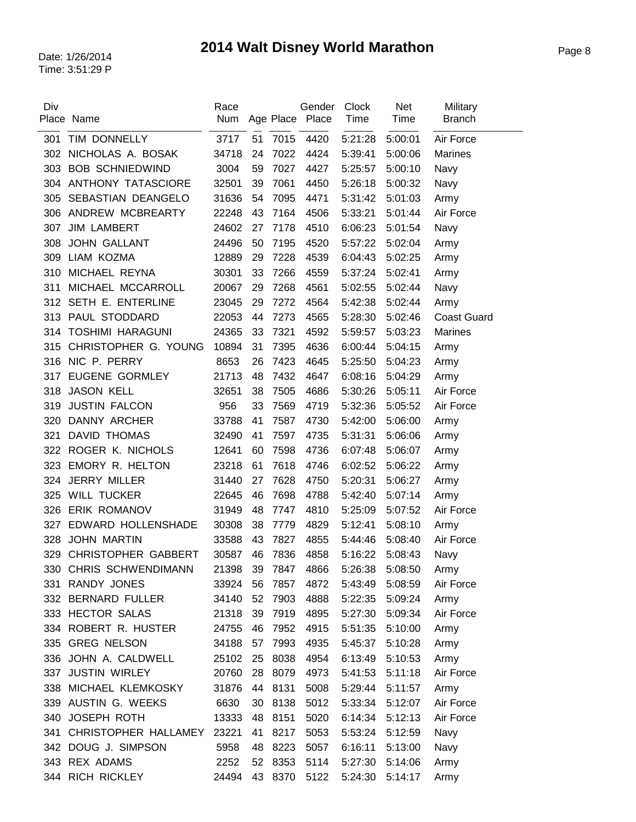| Div |                         | Race  |    |      | Gender          | Clock   | <b>Net</b> | Military           |
|-----|-------------------------|-------|----|------|-----------------|---------|------------|--------------------|
|     | Place Name              | Num   |    |      | Age Place Place | Time    | Time       | <b>Branch</b>      |
| 301 | TIM DONNELLY            | 3717  | 51 | 7015 | 4420            | 5:21:28 | 5:00:01    | Air Force          |
| 302 | NICHOLAS A. BOSAK       | 34718 | 24 | 7022 | 4424            | 5:39:41 | 5:00:06    | <b>Marines</b>     |
| 303 | <b>BOB SCHNIEDWIND</b>  | 3004  | 59 | 7027 | 4427            | 5:25:57 | 5:00:10    | Navy               |
| 304 | ANTHONY TATASCIORE      | 32501 | 39 | 7061 | 4450            | 5:26:18 | 5:00:32    | Navy               |
| 305 | SEBASTIAN DEANGELO      | 31636 | 54 | 7095 | 4471            | 5:31:42 | 5:01:03    | Army               |
| 306 | ANDREW MCBREARTY        | 22248 | 43 | 7164 | 4506            | 5:33:21 | 5:01:44    | Air Force          |
| 307 | <b>JIM LAMBERT</b>      | 24602 | 27 | 7178 | 4510            | 6:06:23 | 5:01:54    | Navy               |
| 308 | <b>JOHN GALLANT</b>     | 24496 | 50 | 7195 | 4520            | 5:57:22 | 5:02:04    | Army               |
| 309 | LIAM KOZMA              | 12889 | 29 | 7228 | 4539            | 6:04:43 | 5:02:25    | Army               |
| 310 | MICHAEL REYNA           | 30301 | 33 | 7266 | 4559            | 5:37:24 | 5:02:41    | Army               |
| 311 | MICHAEL MCCARROLL       | 20067 | 29 | 7268 | 4561            | 5:02:55 | 5:02:44    | Navy               |
| 312 | SETH E. ENTERLINE       | 23045 | 29 | 7272 | 4564            | 5:42:38 | 5:02:44    | Army               |
| 313 | PAUL STODDARD           | 22053 | 44 | 7273 | 4565            | 5:28:30 | 5:02:46    | <b>Coast Guard</b> |
| 314 | <b>TOSHIMI HARAGUNI</b> | 24365 | 33 | 7321 | 4592            | 5:59:57 | 5:03:23    | <b>Marines</b>     |
| 315 | CHRISTOPHER G. YOUNG    | 10894 | 31 | 7395 | 4636            | 6:00:44 | 5:04:15    | Army               |
|     | 316 NIC P. PERRY        | 8653  | 26 | 7423 | 4645            | 5:25:50 | 5:04:23    | Army               |
| 317 | <b>EUGENE GORMLEY</b>   | 21713 | 48 | 7432 | 4647            | 6:08:16 | 5:04:29    | Army               |
| 318 | <b>JASON KELL</b>       | 32651 | 38 | 7505 | 4686            | 5:30:26 | 5:05:11    | Air Force          |
| 319 | <b>JUSTIN FALCON</b>    | 956   | 33 | 7569 | 4719            | 5:32:36 | 5:05:52    | Air Force          |
| 320 | DANNY ARCHER            | 33788 | 41 | 7587 | 4730            | 5:42:00 | 5:06:00    | Army               |
| 321 | <b>DAVID THOMAS</b>     | 32490 | 41 | 7597 | 4735            | 5:31:31 | 5:06:06    | Army               |
| 322 | ROGER K. NICHOLS        | 12641 | 60 | 7598 | 4736            | 6:07:48 | 5:06:07    | Army               |
| 323 | EMORY R. HELTON         | 23218 | 61 | 7618 | 4746            | 6:02:52 | 5:06:22    | Army               |
| 324 | <b>JERRY MILLER</b>     | 31440 | 27 | 7628 | 4750            | 5:20:31 | 5:06:27    | Army               |
| 325 | <b>WILL TUCKER</b>      | 22645 | 46 | 7698 | 4788            | 5:42:40 | 5:07:14    | Army               |
| 326 | <b>ERIK ROMANOV</b>     | 31949 | 48 | 7747 | 4810            | 5:25:09 | 5:07:52    | Air Force          |
| 327 | EDWARD HOLLENSHADE      | 30308 | 38 | 7779 | 4829            | 5:12:41 | 5:08:10    | Army               |
| 328 | <b>JOHN MARTIN</b>      | 33588 | 43 | 7827 | 4855            | 5:44:46 | 5:08:40    | Air Force          |
|     | 329 CHRISTOPHER GABBERT | 30587 | 46 | 7836 | 4858            | 5:16:22 | 5:08:43    | Navy               |
| 330 | CHRIS SCHWENDIMANN      | 21398 | 39 | 7847 | 4866            | 5:26:38 | 5:08:50    | Army               |
| 331 | RANDY JONES             | 33924 | 56 | 7857 | 4872            | 5:43:49 | 5:08:59    | Air Force          |
|     | 332 BERNARD FULLER      | 34140 | 52 | 7903 | 4888            | 5:22:35 | 5:09:24    | Army               |
|     | 333 HECTOR SALAS        | 21318 | 39 | 7919 | 4895            | 5:27:30 | 5:09:34    | Air Force          |
|     | 334 ROBERT R. HUSTER    | 24755 | 46 | 7952 | 4915            | 5:51:35 | 5:10:00    | Army               |
|     | 335 GREG NELSON         | 34188 | 57 | 7993 | 4935            | 5:45:37 | 5:10:28    | Army               |
|     | 336 JOHN A. CALDWELL    | 25102 | 25 | 8038 | 4954            | 6:13:49 | 5:10:53    | Army               |
|     | 337 JUSTIN WIRLEY       | 20760 | 28 | 8079 | 4973            | 5:41:53 | 5:11:18    | Air Force          |
|     | 338 MICHAEL KLEMKOSKY   | 31876 | 44 | 8131 | 5008            | 5:29:44 | 5:11:57    | Army               |
|     | 339 AUSTIN G. WEEKS     | 6630  | 30 | 8138 | 5012            | 5:33:34 | 5:12:07    | Air Force          |
| 340 | JOSEPH ROTH             | 13333 | 48 | 8151 | 5020            | 6:14:34 | 5:12:13    | Air Force          |
| 341 | CHRISTOPHER HALLAMEY    | 23221 | 41 | 8217 | 5053            | 5:53:24 | 5:12:59    | Navy               |
| 342 | DOUG J. SIMPSON         | 5958  | 48 | 8223 | 5057            | 6:16:11 | 5:13:00    | Navy               |
|     | 343 REX ADAMS           | 2252  | 52 | 8353 | 5114            | 5:27:30 | 5:14:06    | Army               |
| 344 | RICH RICKLEY            | 24494 | 43 | 8370 | 5122            | 5:24:30 | 5:14:17    | Army               |
|     |                         |       |    |      |                 |         |            |                    |

 $\overline{a}$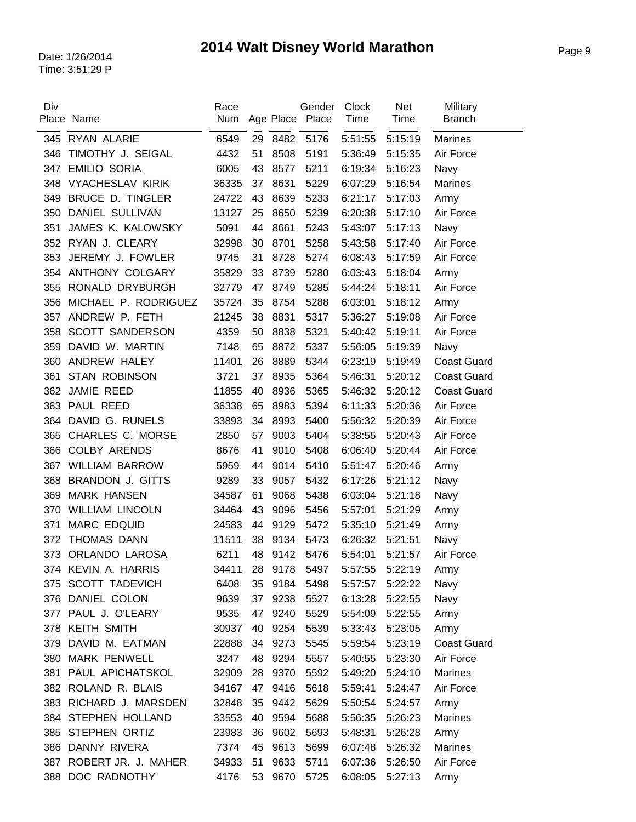| Div | Place Name              | Race<br>Num |    |      | Gender<br>Age Place Place | Clock<br>Time | <b>Net</b><br>Time | Military<br><b>Branch</b> |
|-----|-------------------------|-------------|----|------|---------------------------|---------------|--------------------|---------------------------|
|     |                         |             |    |      |                           |               |                    |                           |
| 345 | RYAN ALARIE             | 6549        | 29 | 8482 | 5176                      | 5:51:55       | 5:15:19            | <b>Marines</b>            |
| 346 | TIMOTHY J. SEIGAL       | 4432        | 51 | 8508 | 5191                      | 5:36:49       | 5:15:35            | Air Force                 |
| 347 | <b>EMILIO SORIA</b>     | 6005        | 43 | 8577 | 5211                      | 6:19:34       | 5:16:23            | Navy                      |
| 348 | <b>VYACHESLAV KIRIK</b> | 36335       | 37 | 8631 | 5229                      | 6:07:29       | 5:16:54            | <b>Marines</b>            |
| 349 | <b>BRUCE D. TINGLER</b> | 24722       | 43 | 8639 | 5233                      | 6:21:17       | 5:17:03            | Army                      |
| 350 | <b>DANIEL SULLIVAN</b>  | 13127       | 25 | 8650 | 5239                      | 6:20:38       | 5:17:10            | Air Force                 |
| 351 | JAMES K. KALOWSKY       | 5091        | 44 | 8661 | 5243                      | 5:43:07       | 5:17:13            | Navy                      |
|     | 352 RYAN J. CLEARY      | 32998       | 30 | 8701 | 5258                      | 5:43:58       | 5:17:40            | Air Force                 |
| 353 | JEREMY J. FOWLER        | 9745        | 31 | 8728 | 5274                      | 6:08:43       | 5:17:59            | Air Force                 |
| 354 | ANTHONY COLGARY         | 35829       | 33 | 8739 | 5280                      | 6:03:43       | 5:18:04            | Army                      |
| 355 | RONALD DRYBURGH         | 32779       | 47 | 8749 | 5285                      | 5:44:24       | 5:18:11            | Air Force                 |
| 356 | MICHAEL P. RODRIGUEZ    | 35724       | 35 | 8754 | 5288                      | 6:03:01       | 5:18:12            | Army                      |
| 357 | ANDREW P. FETH          | 21245       | 38 | 8831 | 5317                      | 5:36:27       | 5:19:08            | Air Force                 |
| 358 | <b>SCOTT SANDERSON</b>  | 4359        | 50 | 8838 | 5321                      | 5:40:42       | 5:19:11            | Air Force                 |
| 359 | DAVID W. MARTIN         | 7148        | 65 | 8872 | 5337                      | 5:56:05       | 5:19:39            | Navy                      |
| 360 | ANDREW HALEY            | 11401       | 26 | 8889 | 5344                      | 6:23:19       | 5:19:49            | <b>Coast Guard</b>        |
| 361 | <b>STAN ROBINSON</b>    | 3721        | 37 | 8935 | 5364                      | 5:46:31       | 5:20:12            | <b>Coast Guard</b>        |
| 362 | JAMIE REED              | 11855       | 40 | 8936 | 5365                      | 5:46:32       | 5:20:12            | <b>Coast Guard</b>        |
| 363 | PAUL REED               | 36338       | 65 | 8983 | 5394                      | 6:11:33       | 5:20:36            | Air Force                 |
| 364 | DAVID G. RUNELS         | 33893       | 34 | 8993 | 5400                      | 5:56:32       | 5:20:39            | Air Force                 |
| 365 | CHARLES C. MORSE        | 2850        | 57 | 9003 | 5404                      | 5:38:55       | 5:20:43            | Air Force                 |
| 366 | <b>COLBY ARENDS</b>     | 8676        | 41 | 9010 | 5408                      | 6:06:40       | 5:20:44            | Air Force                 |
| 367 | <b>WILLIAM BARROW</b>   | 5959        | 44 | 9014 | 5410                      | 5:51:47       | 5:20:46            | Army                      |
| 368 | <b>BRANDON J. GITTS</b> | 9289        | 33 | 9057 | 5432                      | 6:17:26       | 5:21:12            | Navy                      |
| 369 | <b>MARK HANSEN</b>      | 34587       | 61 | 9068 | 5438                      | 6:03:04       | 5:21:18            | Navy                      |
| 370 | <b>WILLIAM LINCOLN</b>  | 34464       | 43 | 9096 | 5456                      | 5:57:01       | 5:21:29            | Army                      |
| 371 | <b>MARC EDQUID</b>      | 24583       | 44 | 9129 | 5472                      | 5:35:10       | 5:21:49            | Army                      |
| 372 | <b>THOMAS DANN</b>      | 11511       | 38 | 9134 | 5473                      | 6:26:32       | 5:21:51            | Navy                      |
|     | 373 ORLANDO LAROSA      | 6211        | 48 | 9142 | 5476                      | 5:54:01       | 5:21:57            | Air Force                 |
|     | 374 KEVIN A. HARRIS     | 34411 28    |    | 9178 | 5497                      | 5:57:55       | 5:22:19            | Army                      |
|     | 375 SCOTT TADEVICH      | 6408        | 35 | 9184 | 5498                      | 5:57:57       | 5:22:22            | Navy                      |
|     | 376 DANIEL COLON        | 9639        | 37 | 9238 | 5527                      | 6:13:28       | 5:22:55            | Navy                      |
|     | 377 PAUL J. O'LEARY     | 9535        | 47 | 9240 | 5529                      | 5:54:09       | 5:22:55            | Army                      |
|     | 378 KEITH SMITH         | 30937       | 40 | 9254 | 5539                      | 5:33:43       | 5:23:05            | Army                      |
| 379 | DAVID M. EATMAN         | 22888       | 34 | 9273 | 5545                      | 5:59:54       | 5:23:19            | <b>Coast Guard</b>        |
| 380 | <b>MARK PENWELL</b>     | 3247        | 48 | 9294 | 5557                      | 5:40:55       | 5:23:30            | Air Force                 |
|     | 381 PAUL APICHATSKOL    | 32909       | 28 | 9370 | 5592                      | 5:49:20       | 5:24:10            | Marines                   |
|     | 382 ROLAND R. BLAIS     | 34167       | 47 | 9416 | 5618                      | 5:59:41       | 5:24:47            | Air Force                 |
|     | 383 RICHARD J. MARSDEN  | 32848       | 35 | 9442 | 5629                      | 5:50:54       | 5:24:57            | Army                      |
|     | 384 STEPHEN HOLLAND     | 33553       | 40 | 9594 | 5688                      | 5:56:35       | 5:26:23            | Marines                   |
| 385 | STEPHEN ORTIZ           | 23983       | 36 | 9602 | 5693                      | 5:48:31       | 5:26:28            | Army                      |
|     | 386 DANNY RIVERA        | 7374        | 45 | 9613 | 5699                      | 6:07:48       | 5:26:32            | Marines                   |
|     | 387 ROBERT JR. J. MAHER | 34933       | 51 | 9633 | 5711                      | 6:07:36       | 5:26:50            | Air Force                 |
| 388 | DOC RADNOTHY            | 4176        | 53 | 9670 | 5725                      | 6:08:05       | 5:27:13            | Army                      |
|     |                         |             |    |      |                           |               |                    |                           |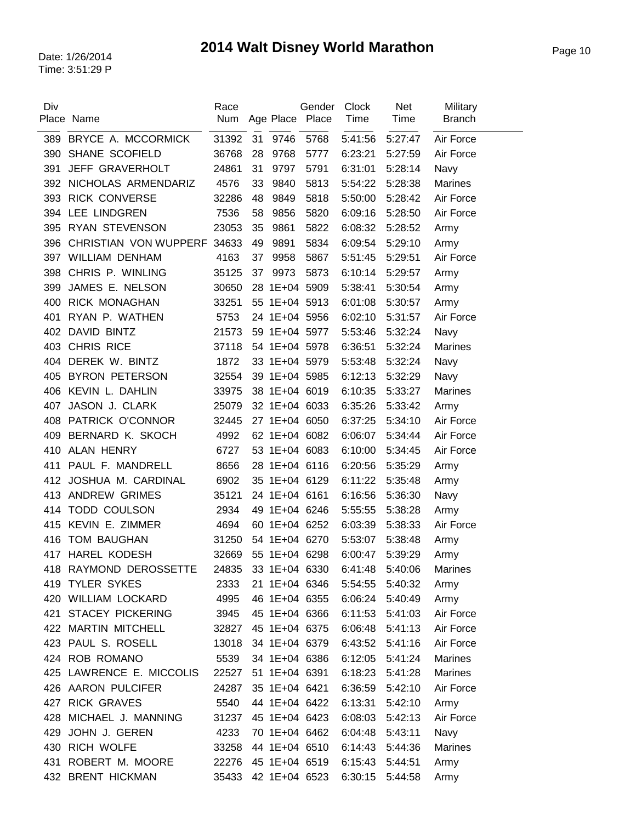| Div | Place Name                  | Race<br>Num |    | Age Place     | Gender<br>Place | <b>Clock</b><br>Time | <b>Net</b><br>Time | Military<br><b>Branch</b> |
|-----|-----------------------------|-------------|----|---------------|-----------------|----------------------|--------------------|---------------------------|
| 389 | BRYCE A. MCCORMICK          | 31392       | 31 | 9746          | 5768            | 5:41:56              | 5:27:47            | Air Force                 |
| 390 | SHANE SCOFIELD              | 36768       | 28 | 9768          | 5777            | 6:23:21              | 5:27:59            | Air Force                 |
| 391 | <b>JEFF GRAVERHOLT</b>      | 24861       | 31 | 9797          | 5791            | 6:31:01              | 5:28:14            | Navy                      |
| 392 | NICHOLAS ARMENDARIZ         | 4576        | 33 | 9840          | 5813            | 5:54:22              | 5:28:38            | <b>Marines</b>            |
| 393 | <b>RICK CONVERSE</b>        | 32286       | 48 | 9849          | 5818            | 5:50:00              | 5:28:42            | Air Force                 |
| 394 | LEE LINDGREN                | 7536        | 58 | 9856          | 5820            | 6:09:16              | 5:28:50            | Air Force                 |
| 395 | <b>RYAN STEVENSON</b>       | 23053       | 35 | 9861          | 5822            | 6:08:32              | 5:28:52            | Army                      |
| 396 | CHRISTIAN VON WUPPERF 34633 |             | 49 | 9891          | 5834            | 6:09:54              | 5:29:10            | Army                      |
| 397 | <b>WILLIAM DENHAM</b>       | 4163        | 37 | 9958          | 5867            | 5:51:45              | 5:29:51            | Air Force                 |
| 398 | CHRIS P. WINLING            | 35125       | 37 | 9973          | 5873            | 6:10:14              | 5:29:57            | Army                      |
| 399 | JAMES E. NELSON             | 30650       | 28 | 1E+04 5909    |                 | 5:38:41              | 5:30:54            | Army                      |
| 400 | <b>RICK MONAGHAN</b>        | 33251       |    | 55 1E+04 5913 |                 | 6:01:08              | 5:30:57            | Army                      |
| 401 | RYAN P. WATHEN              | 5753        |    | 24 1E+04 5956 |                 | 6:02:10              | 5:31:57            | Air Force                 |
| 402 | <b>DAVID BINTZ</b>          | 21573       |    | 59 1E+04 5977 |                 | 5:53:46              | 5:32:24            | Navy                      |
| 403 | <b>CHRIS RICE</b>           | 37118       |    | 54 1E+04 5978 |                 | 6:36:51              | 5:32:24            | <b>Marines</b>            |
| 404 | DEREK W. BINTZ              | 1872        |    | 33 1E+04 5979 |                 | 5:53:48              | 5:32:24            | Navy                      |
| 405 | <b>BYRON PETERSON</b>       | 32554       |    | 39 1E+04 5985 |                 | 6:12:13              | 5:32:29            | Navy                      |
| 406 | KEVIN L. DAHLIN             | 33975       |    | 38 1E+04 6019 |                 | 6:10:35              | 5:33:27            | <b>Marines</b>            |
| 407 | JASON J. CLARK              | 25079       |    | 32 1E+04 6033 |                 | 6:35:26              | 5:33:42            | Army                      |
| 408 | PATRICK O'CONNOR            | 32445       |    | 27 1E+04 6050 |                 | 6:37:25              | 5:34:10            | Air Force                 |
| 409 | BERNARD K. SKOCH            | 4992        |    | 62 1E+04 6082 |                 | 6:06:07              | 5:34:44            | Air Force                 |
| 410 | <b>ALAN HENRY</b>           | 6727        |    | 53 1E+04 6083 |                 | 6:10:00              | 5:34:45            | Air Force                 |
| 411 | PAUL F. MANDRELL            | 8656        |    | 28 1E+04 6116 |                 | 6:20:56              | 5:35:29            | Army                      |
| 412 | JOSHUA M. CARDINAL          | 6902        |    | 35 1E+04 6129 |                 | 6:11:22              | 5:35:48            | Army                      |
| 413 | <b>ANDREW GRIMES</b>        | 35121       |    | 24 1E+04 6161 |                 | 6:16:56              | 5:36:30            | Navy                      |
| 414 | <b>TODD COULSON</b>         | 2934        |    | 49 1E+04 6246 |                 | 5:55:55              | 5:38:28            | Army                      |
| 415 | KEVIN E. ZIMMER             | 4694        |    | 60 1E+04 6252 |                 | 6:03:39              | 5:38:33            | Air Force                 |
| 416 | <b>TOM BAUGHAN</b>          | 31250       |    | 54 1E+04 6270 |                 | 5:53:07              | 5:38:48            | Army                      |
|     | 417 HAREL KODESH            | 32669       |    | 55 1E+04 6298 |                 | 6:00:47              | 5:39:29            | Army                      |
|     | 418 RAYMOND DEROSSETTE      | 24835       |    | 33 1E+04 6330 |                 | 6:41:48              | 5:40:06            | Marines                   |
| 419 | <b>TYLER SYKES</b>          | 2333        |    | 21 1E+04 6346 |                 | 5:54:55              | 5:40:32            | Army                      |
|     | 420 WILLIAM LOCKARD         | 4995        |    | 46 1E+04 6355 |                 | 6:06:24              | 5:40:49            | Army                      |
| 421 | <b>STACEY PICKERING</b>     | 3945        |    | 45 1E+04 6366 |                 | 6:11:53              | 5:41:03            | Air Force                 |
|     | 422 MARTIN MITCHELL         | 32827       |    | 45 1E+04 6375 |                 | 6:06:48              | 5:41:13            | Air Force                 |
|     | 423 PAUL S. ROSELL          | 13018       |    | 34 1E+04 6379 |                 | 6:43:52              | 5:41:16            | Air Force                 |
|     | 424 ROB ROMANO              | 5539        |    | 34 1E+04 6386 |                 | 6:12:05              | 5:41:24            | <b>Marines</b>            |
|     | 425 LAWRENCE E. MICCOLIS    | 22527       |    | 51 1E+04 6391 |                 | 6:18:23              | 5:41:28            | <b>Marines</b>            |
|     | 426 AARON PULCIFER          | 24287       |    | 35 1E+04 6421 |                 | 6:36:59              | 5:42:10            | Air Force                 |
|     | 427 RICK GRAVES             | 5540        |    | 44 1E+04 6422 |                 | 6:13:31              | 5:42:10            | Army                      |
| 428 | MICHAEL J. MANNING          | 31237       |    | 45 1E+04 6423 |                 | 6:08:03              | 5:42:13            | Air Force                 |
| 429 | JOHN J. GEREN               | 4233        |    | 70 1E+04 6462 |                 | 6:04:48              | 5:43:11            | Navy                      |
|     | 430 RICH WOLFE              | 33258       |    | 44 1E+04 6510 |                 | 6:14:43              | 5:44:36            | Marines                   |
| 431 | ROBERT M. MOORE             | 22276       |    | 45 1E+04 6519 |                 | 6:15:43              | 5:44:51            | Army                      |
|     | 432 BRENT HICKMAN           | 35433       |    | 42 1E+04 6523 |                 | 6:30:15              | 5:44:58            | Army                      |
|     |                             |             |    |               |                 |                      |                    |                           |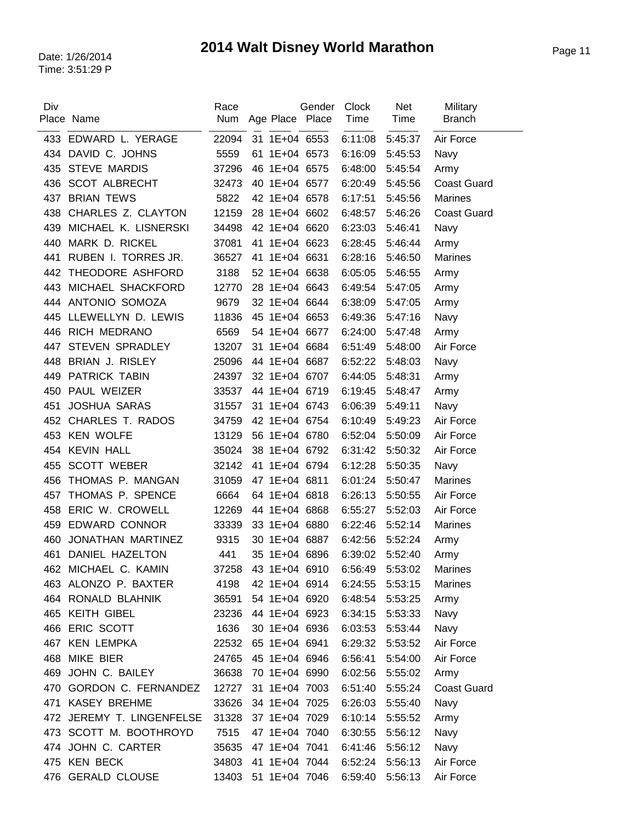| Div | Place Name                | Race<br>Num | Age Place Place | Gender | <b>Clock</b><br>Time | Net<br>Time | Military<br><b>Branch</b> |
|-----|---------------------------|-------------|-----------------|--------|----------------------|-------------|---------------------------|
| 433 | EDWARD L. YERAGE          | 22094       | 31 1E+04 6553   |        | 6:11:08              | 5:45:37     | Air Force                 |
|     | 434 DAVID C. JOHNS        | 5559        | 61 1E+04 6573   |        | 6:16:09              | 5:45:53     | Navy                      |
| 435 | <b>STEVE MARDIS</b>       | 37296       | 46 1E+04 6575   |        | 6:48:00              | 5:45:54     | Army                      |
| 436 | <b>SCOT ALBRECHT</b>      | 32473       | 40 1E+04 6577   |        | 6:20:49              | 5:45:56     | <b>Coast Guard</b>        |
| 437 | <b>BRIAN TEWS</b>         | 5822        | 42 1E+04 6578   |        | 6:17:51              | 5:45:56     | <b>Marines</b>            |
| 438 | CHARLES Z. CLAYTON        | 12159       | 28 1E+04 6602   |        | 6:48:57              | 5:46:26     | <b>Coast Guard</b>        |
| 439 | MICHAEL K. LISNERSKI      | 34498       | 42 1E+04 6620   |        | 6:23:03              | 5:46:41     | Navy                      |
| 440 | MARK D. RICKEL            | 37081       | 41 1E+04 6623   |        | 6:28:45              | 5:46:44     | Army                      |
| 441 | RUBEN I. TORRES JR.       | 36527       | 41 1E+04 6631   |        | 6:28:16              | 5:46:50     | Marines                   |
| 442 | THEODORE ASHFORD          | 3188        | 52 1E+04 6638   |        | 6:05:05              | 5:46:55     | Army                      |
| 443 | MICHAEL SHACKFORD         | 12770       | 28 1E+04 6643   |        | 6:49:54              | 5:47:05     | Army                      |
| 444 | ANTONIO SOMOZA            | 9679        | 32 1E+04 6644   |        | 6:38:09              | 5:47:05     | Army                      |
| 445 | LLEWELLYN D. LEWIS        | 11836       | 45 1E+04 6653   |        | 6:49:36              | 5:47:16     | Navy                      |
|     | 446 RICH MEDRANO          | 6569        | 54 1E+04 6677   |        | 6:24:00              | 5:47:48     | Army                      |
| 447 | <b>STEVEN SPRADLEY</b>    | 13207       | 31 1E+04 6684   |        | 6:51:49              | 5:48:00     | Air Force                 |
| 448 | BRIAN J. RISLEY           | 25096       | 44 1E+04 6687   |        | 6:52:22              | 5:48:03     | Navy                      |
| 449 | <b>PATRICK TABIN</b>      | 24397       | 32 1E+04 6707   |        | 6:44:05              | 5:48:31     | Army                      |
| 450 | PAUL WEIZER               | 33537       | 44 1E+04 6719   |        | 6:19:45              | 5:48:47     | Army                      |
| 451 | <b>JOSHUA SARAS</b>       | 31557       | 31 1E+04 6743   |        | 6:06:39              | 5:49:11     | Navy                      |
| 452 | CHARLES T. RADOS          | 34759       | 42 1E+04 6754   |        | 6:10:49              | 5:49:23     | Air Force                 |
|     | 453 KEN WOLFE             | 13129       | 56 1E+04 6780   |        | 6:52:04              | 5:50:09     | Air Force                 |
| 454 | <b>KEVIN HALL</b>         | 35024       | 38 1E+04 6792   |        | 6:31:42              | 5:50:32     | Air Force                 |
| 455 | <b>SCOTT WEBER</b>        | 32142       | 41 1E+04 6794   |        | 6:12:28              | 5:50:35     | Navy                      |
| 456 | THOMAS P. MANGAN          | 31059       | 47 1E+04 6811   |        | 6:01:24              | 5:50:47     | <b>Marines</b>            |
| 457 | THOMAS P. SPENCE          | 6664        | 64 1E+04 6818   |        | 6:26:13              | 5:50:55     | Air Force                 |
| 458 | ERIC W. CROWELL           | 12269       | 44 1E+04 6868   |        | 6:55:27              | 5:52:03     | Air Force                 |
| 459 | <b>EDWARD CONNOR</b>      | 33339       | 33 1E+04 6880   |        | 6:22:46              | 5:52:14     | <b>Marines</b>            |
| 460 | JONATHAN MARTINEZ         | 9315        | 30 1E+04 6887   |        | 6:42:56              | 5:52:24     | Army                      |
| 461 | DANIEL HAZELTON           | 441         | 35 1E+04 6896   |        | 6:39:02              | 5:52:40     | Army                      |
|     | 462 MICHAEL C. KAMIN      | 37258       | 43 1E+04 6910   |        | 6:56:49              | 5:53:02     | Marines                   |
|     | 463 ALONZO P. BAXTER      | 4198        | 42 1E+04 6914   |        | 6:24:55              | 5:53:15     | Marines                   |
|     | 464 RONALD BLAHNIK        | 36591       | 54 1E+04 6920   |        | 6:48:54              | 5:53:25     | Army                      |
|     | 465 KEITH GIBEL           | 23236       | 44 1E+04 6923   |        | 6:34:15              | 5:53:33     | Navy                      |
|     | 466 ERIC SCOTT            | 1636        | 30 1E+04 6936   |        | 6:03:53              | 5:53:44     | Navy                      |
|     | 467 KEN LEMPKA            | 22532       | 65 1E+04 6941   |        | 6:29:32              | 5:53:52     | Air Force                 |
| 468 | <b>MIKE BIER</b>          | 24765       | 45 1E+04 6946   |        | 6:56:41              | 5:54:00     | Air Force                 |
| 469 | JOHN C. BAILEY            | 36638       | 70 1E+04 6990   |        | 6:02:56              | 5:55:02     | Army                      |
|     | 470 GORDON C. FERNANDEZ   | 12727       | 31 1E+04 7003   |        | 6:51:40              | 5:55:24     | <b>Coast Guard</b>        |
|     | 471 KASEY BREHME          | 33626       | 34 1E+04 7025   |        | 6:26:03              | 5:55:40     | Navy                      |
|     | 472 JEREMY T. LINGENFELSE | 31328       | 37 1E+04 7029   |        | 6:10:14              | 5:55:52     | Army                      |
|     | 473 SCOTT M. BOOTHROYD    | 7515        | 47 1E+04 7040   |        | 6:30:55              | 5:56:12     | Navy                      |
|     | 474 JOHN C. CARTER        | 35635       | 47 1E+04 7041   |        | 6:41:46              | 5:56:12     | Navy                      |
|     | 475 KEN BECK              | 34803       | 41 1E+04 7044   |        | 6:52:24              | 5:56:13     | Air Force                 |
|     | 476 GERALD CLOUSE         | 13403       | 51 1E+04 7046   |        | 6:59:40              | 5:56:13     | Air Force                 |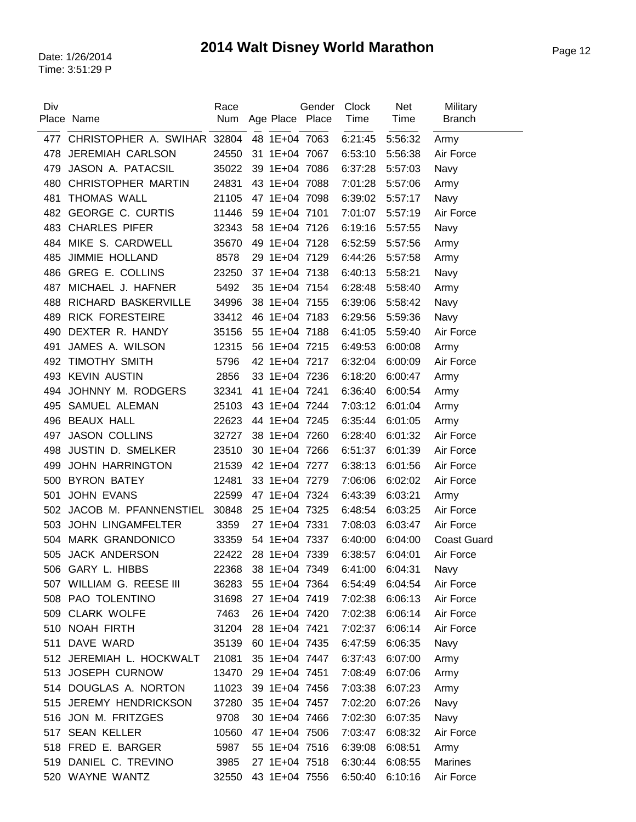| Div | Place Name                  | Race<br>Num | Age Place Place | Gender | Clock<br>Time | <b>Net</b><br>Time | Military<br><b>Branch</b> |
|-----|-----------------------------|-------------|-----------------|--------|---------------|--------------------|---------------------------|
| 477 | CHRISTOPHER A. SWIHAR 32804 |             | 48 1E+04 7063   |        | 6:21:45       | 5:56:32            | Army                      |
| 478 | <b>JEREMIAH CARLSON</b>     | 24550       | 31 1E+04 7067   |        | 6:53:10       | 5:56:38            | Air Force                 |
| 479 | JASON A. PATACSIL           | 35022       | 39 1E+04 7086   |        | 6:37:28       | 5:57:03            | Navy                      |
| 480 | <b>CHRISTOPHER MARTIN</b>   | 24831       | 43 1E+04 7088   |        | 7:01:28       | 5:57:06            | Army                      |
| 481 | <b>THOMAS WALL</b>          | 21105       | 47 1E+04 7098   |        | 6:39:02       | 5:57:17            | Navy                      |
| 482 | <b>GEORGE C. CURTIS</b>     | 11446       | 59 1E+04 7101   |        | 7:01:07       | 5:57:19            | Air Force                 |
| 483 | <b>CHARLES PIFER</b>        | 32343       | 58 1E+04 7126   |        | 6:19:16       | 5:57:55            | Navy                      |
| 484 | MIKE S. CARDWELL            | 35670       | 49 1E+04 7128   |        | 6:52:59       | 5:57:56            | Army                      |
| 485 | <b>JIMMIE HOLLAND</b>       | 8578        | 29 1E+04 7129   |        | 6:44:26       | 5:57:58            | Army                      |
| 486 | <b>GREG E. COLLINS</b>      | 23250       | 37 1E+04 7138   |        | 6:40:13       | 5:58:21            | Navy                      |
| 487 | MICHAEL J. HAFNER           | 5492        | 35 1E+04 7154   |        | 6:28:48       | 5:58:40            | Army                      |
| 488 | RICHARD BASKERVILLE         | 34996       | 38 1E+04 7155   |        | 6:39:06       | 5:58:42            | Navy                      |
| 489 | <b>RICK FORESTEIRE</b>      | 33412       | 46 1E+04 7183   |        | 6:29:56       | 5:59:36            | Navy                      |
| 490 | DEXTER R. HANDY             | 35156       | 55 1E+04 7188   |        | 6:41:05       | 5:59:40            | Air Force                 |
| 491 | JAMES A. WILSON             | 12315       | 56 1E+04 7215   |        | 6:49:53       | 6:00:08            | Army                      |
| 492 | <b>TIMOTHY SMITH</b>        | 5796        | 42 1E+04 7217   |        | 6:32:04       | 6:00:09            | Air Force                 |
| 493 | <b>KEVIN AUSTIN</b>         | 2856        | 33 1E+04 7236   |        | 6:18:20       | 6:00:47            | Army                      |
| 494 | JOHNNY M. RODGERS           | 32341       | 41 1E+04 7241   |        | 6:36:40       | 6:00:54            | Army                      |
| 495 | SAMUEL ALEMAN               | 25103       | 43 1E+04 7244   |        | 7:03:12       | 6:01:04            | Army                      |
| 496 | <b>BEAUX HALL</b>           | 22623       | 44 1E+04 7245   |        | 6:35:44       | 6:01:05            | Army                      |
| 497 | <b>JASON COLLINS</b>        | 32727       | 38 1E+04 7260   |        | 6:28:40       | 6:01:32            | Air Force                 |
| 498 | JUSTIN D. SMELKER           | 23510       | 30 1E+04 7266   |        | 6:51:37       | 6:01:39            | Air Force                 |
| 499 | <b>JOHN HARRINGTON</b>      | 21539       | 42 1E+04 7277   |        | 6:38:13       | 6:01:56            | Air Force                 |
| 500 | <b>BYRON BATEY</b>          | 12481       | 33 1E+04 7279   |        | 7:06:06       | 6:02:02            | Air Force                 |
| 501 | <b>JOHN EVANS</b>           | 22599       | 47 1E+04 7324   |        | 6:43:39       | 6:03:21            | Army                      |
| 502 | JACOB M. PFANNENSTIEL       | 30848       | 25 1E+04 7325   |        | 6:48:54       | 6:03:25            | Air Force                 |
| 503 | <b>JOHN LINGAMFELTER</b>    | 3359        | 27 1E+04 7331   |        | 7:08:03       | 6:03:47            | Air Force                 |
| 504 | <b>MARK GRANDONICO</b>      | 33359       | 54 1E+04 7337   |        | 6:40:00       | 6:04:00            | <b>Coast Guard</b>        |
| 505 | <b>JACK ANDERSON</b>        | 22422       | 28 1E+04 7339   |        | 6:38:57       | 6:04:01            | Air Force                 |
|     | 506 GARY L. HIBBS           | 22368       | 38 1E+04 7349   |        | 6:41:00       | 6:04:31            | Navy                      |
|     | 507 WILLIAM G. REESE III    | 36283       | 55 1E+04 7364   |        | 6:54:49       | 6:04:54            | Air Force                 |
|     | 508 PAO TOLENTINO           | 31698       | 27 1E+04 7419   |        | 7:02:38       | 6:06:13            | Air Force                 |
|     | 509 CLARK WOLFE             | 7463        | 26 1E+04 7420   |        | 7:02:38       | 6:06:14            | Air Force                 |
|     | 510 NOAH FIRTH              | 31204       | 28 1E+04 7421   |        | 7:02:37       | 6:06:14            | Air Force                 |
| 511 | DAVE WARD                   | 35139       | 60 1E+04 7435   |        | 6:47:59       | 6:06:35            | Navy                      |
|     | 512 JEREMIAH L. HOCKWALT    | 21081       | 35 1E+04 7447   |        | 6:37:43       | 6:07:00            | Army                      |
|     | 513 JOSEPH CURNOW           | 13470       | 29 1E+04 7451   |        | 7:08:49       | 6:07:06            | Army                      |
|     | 514 DOUGLAS A. NORTON       | 11023       | 39 1E+04 7456   |        | 7:03:38       | 6:07:23            | Army                      |
|     | 515 JEREMY HENDRICKSON      | 37280       | 35 1E+04 7457   |        | 7:02:20       | 6:07:26            | Navy                      |
|     | 516 JON M. FRITZGES         | 9708        | 30 1E+04 7466   |        | 7:02:30       | 6:07:35            | Navy                      |
| 517 | <b>SEAN KELLER</b>          | 10560       | 47 1E+04 7506   |        | 7:03:47       | 6:08:32            | Air Force                 |
|     | 518 FRED E. BARGER          | 5987        | 55 1E+04 7516   |        | 6:39:08       | 6:08:51            | Army                      |
|     | 519 DANIEL C. TREVINO       | 3985        | 27 1E+04 7518   |        | 6:30:44       | 6:08:55            | <b>Marines</b>            |
|     | 520 WAYNE WANTZ             | 32550       | 43 1E+04 7556   |        | 6:50:40       | 6:10:16            | Air Force                 |
|     |                             |             |                 |        |               |                    |                           |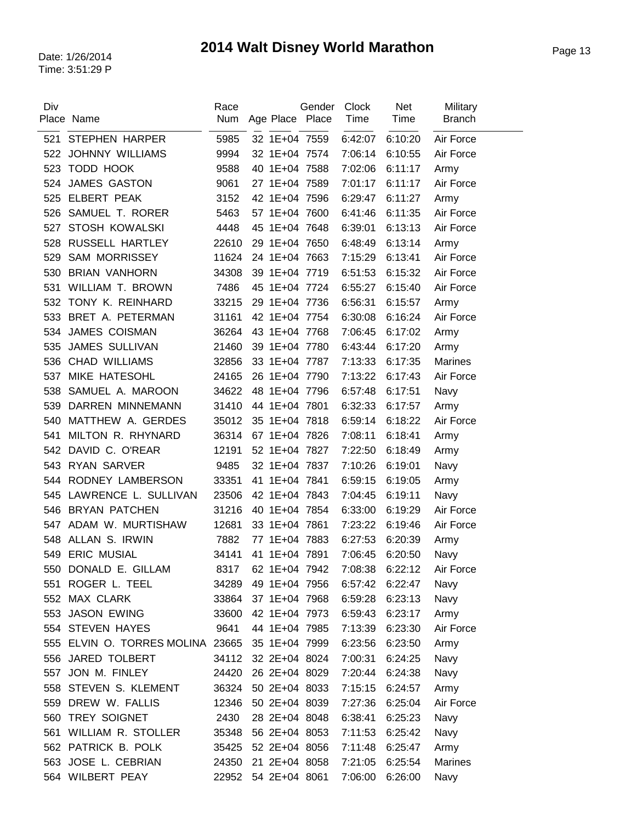| Div        | Place Name                       | Race<br>Num | Age Place Place | Gender | Clock<br>Time | <b>Net</b><br>Time | Military<br><b>Branch</b> |
|------------|----------------------------------|-------------|-----------------|--------|---------------|--------------------|---------------------------|
| 521        | <b>STEPHEN HARPER</b>            | 5985        | 32 1E+04 7559   |        | 6:42:07       | 6:10:20            | Air Force                 |
| 522        | <b>JOHNNY WILLIAMS</b>           | 9994        | 32 1E+04 7574   |        | 7:06:14       | 6:10:55            | Air Force                 |
| 523        | TODD HOOK                        | 9588        | 40 1E+04 7588   |        | 7:02:06       | 6:11:17            | Army                      |
| 524        | <b>JAMES GASTON</b>              | 9061        | 27 1E+04 7589   |        | 7:01:17       | 6:11:17            | Air Force                 |
| 525        | <b>ELBERT PEAK</b>               | 3152        | 42 1E+04 7596   |        | 6:29:47       | 6:11:27            | Army                      |
| 526        | SAMUEL T. RORER                  | 5463        | 57 1E+04 7600   |        | 6:41:46       | 6:11:35            | Air Force                 |
| 527        | <b>STOSH KOWALSKI</b>            | 4448        | 45 1E+04 7648   |        | 6:39:01       | 6:13:13            | Air Force                 |
| 528        | RUSSELL HARTLEY                  | 22610       | 29 1E+04 7650   |        | 6:48:49       | 6:13:14            | Army                      |
| 529        | <b>SAM MORRISSEY</b>             | 11624       | 24 1E+04 7663   |        | 7:15:29       | 6:13:41            | Air Force                 |
| 530        | <b>BRIAN VANHORN</b>             | 34308       | 39 1E+04 7719   |        | 6:51:53       | 6:15:32            | Air Force                 |
| 531        | WILLIAM T. BROWN                 | 7486        | 45 1E+04 7724   |        | 6:55:27       | 6:15:40            | Air Force                 |
| 532        | TONY K. REINHARD                 | 33215       | 29 1E+04 7736   |        | 6:56:31       | 6:15:57            | Army                      |
| 533        | BRET A. PETERMAN                 | 31161       | 42 1E+04 7754   |        | 6:30:08       | 6:16:24            | Air Force                 |
| 534        | <b>JAMES COISMAN</b>             | 36264       | 43 1E+04 7768   |        | 7:06:45       | 6:17:02            |                           |
| 535        | <b>JAMES SULLIVAN</b>            | 21460       | 39 1E+04 7780   |        | 6:43:44       | 6:17:20            | Army<br>Army              |
|            | <b>CHAD WILLIAMS</b>             | 32856       | 33 1E+04 7787   |        | 7:13:33       | 6:17:35            | <b>Marines</b>            |
| 536<br>537 | MIKE HATESOHL                    | 24165       | 26 1E+04 7790   |        | 7:13:22       | 6:17:43            | Air Force                 |
|            | SAMUEL A. MAROON                 | 34622       | 48 1E+04 7796   |        | 6:57:48       | 6:17:51            |                           |
| 538        | DARREN MINNEMANN                 |             |                 |        |               |                    | Navy                      |
| 539        |                                  | 31410       | 44 1E+04 7801   |        | 6:32:33       | 6:17:57            | Army                      |
| 540        | MATTHEW A. GERDES                | 35012       | 35 1E+04 7818   |        | 6:59:14       | 6:18:22            | Air Force                 |
| 541        | MILTON R. RHYNARD                | 36314       | 67 1E+04 7826   |        | 7:08:11       | 6:18:41            | Army                      |
| 542        | DAVID C. O'REAR                  | 12191       | 52 1E+04 7827   |        | 7:22:50       | 6:18:49            | Army                      |
| 543        | <b>RYAN SARVER</b>               | 9485        | 32 1E+04 7837   |        | 7:10:26       | 6:19:01            | Navy                      |
| 544        | RODNEY LAMBERSON                 | 33351       | 41 1E+04 7841   |        | 6:59:15       | 6:19:05            | Army                      |
| 545        | LAWRENCE L. SULLIVAN             | 23506       | 42 1E+04 7843   |        | 7:04:45       | 6:19:11            | Navy                      |
| 546        | <b>BRYAN PATCHEN</b>             | 31216       | 40 1E+04 7854   |        | 6:33:00       | 6:19:29            | Air Force                 |
| 547        | ADAM W. MURTISHAW                | 12681       | 33 1E+04 7861   |        | 7:23:22       | 6:19:46            | Air Force                 |
| 548        | ALLAN S. IRWIN                   | 7882        | 77 1E+04 7883   |        | 6:27:53       | 6:20:39            | Army                      |
|            | 549 ERIC MUSIAL                  | 34141       | 41 1E+04 7891   |        | 7:06:45       | 6:20:50            | Navy                      |
| 550        | DONALD E. GILLAM                 | 8317        | 62 1E+04 7942   |        | 7:08:38       | 6:22:12            | Air Force                 |
| 551        | ROGER L. TEEL                    | 34289       | 49 1E+04 7956   |        | 6:57:42       | 6:22:47            | Navy                      |
|            | 552 MAX CLARK                    | 33864       | 37 1E+04 7968   |        | 6:59:28       | 6:23:13            | Navy                      |
|            | 553 JASON EWING                  | 33600       | 42 1E+04 7973   |        | 6:59:43       | 6:23:17            | Army                      |
|            | 554 STEVEN HAYES                 | 9641        | 44 1E+04 7985   |        | 7:13:39       | 6:23:30            | Air Force                 |
|            | 555 ELVIN O. TORRES MOLINA 23665 |             | 35 1E+04 7999   |        | 6:23:56       | 6:23:50            | Army                      |
|            | 556 JARED TOLBERT                | 34112       | 32 2E+04 8024   |        | 7:00:31       | 6:24:25            | Navy                      |
| 557        | JON M. FINLEY                    | 24420       | 26 2E+04 8029   |        | 7:20:44       | 6:24:38            | Navy                      |
|            | 558 STEVEN S. KLEMENT            | 36324       | 50 2E+04 8033   |        | 7:15:15       | 6:24:57            | Army                      |
|            | 559 DREW W. FALLIS               | 12346       | 50 2E+04 8039   |        | 7:27:36       | 6:25:04            | Air Force                 |
| 560        | <b>TREY SOIGNET</b>              | 2430        | 28 2E+04 8048   |        | 6:38:41       | 6:25:23            | Navy                      |
| 561        | <b>WILLIAM R. STOLLER</b>        | 35348       | 56 2E+04 8053   |        | 7:11:53       | 6:25:42            | Navy                      |
|            | 562 PATRICK B. POLK              | 35425       | 52 2E+04 8056   |        | 7:11:48       | 6:25:47            | Army                      |
|            | 563 JOSE L. CEBRIAN              | 24350       | 21 2E+04 8058   |        | 7:21:05       | 6:25:54            | <b>Marines</b>            |
|            | 564 WILBERT PEAY                 | 22952       | 54 2E+04 8061   |        | 7:06:00       | 6:26:00            | Navy                      |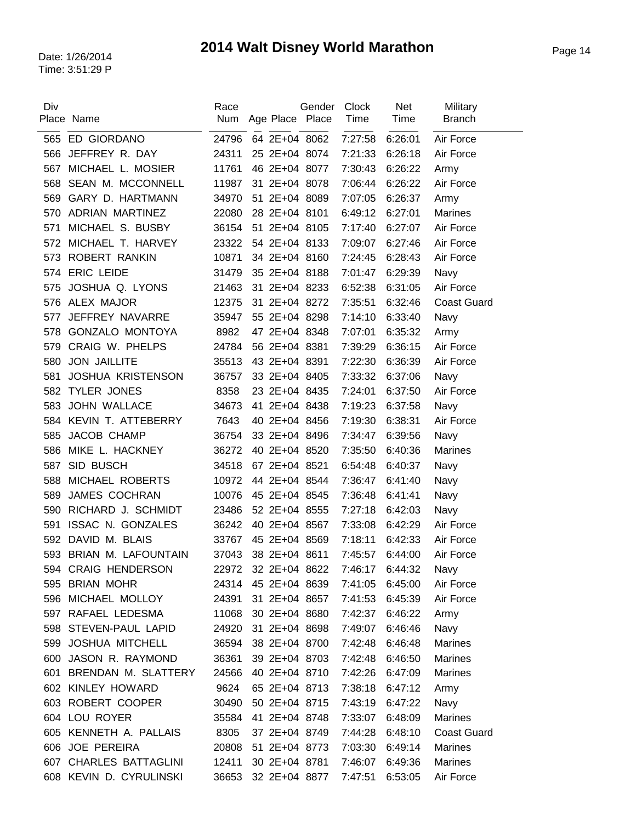| Div |                            | Race  |                     | Gender | Clock   | <b>Net</b> | Military           |
|-----|----------------------------|-------|---------------------|--------|---------|------------|--------------------|
|     | Place Name                 | Num   | Age Place Place     |        | Time    | Time       | <b>Branch</b>      |
| 565 | ED GIORDANO                | 24796 | 64 2E+04 8062       |        | 7:27:58 | 6:26:01    | Air Force          |
| 566 | JEFFREY R. DAY             | 24311 | 25 2E+04 8074       |        | 7:21:33 | 6:26:18    | Air Force          |
| 567 | MICHAEL L. MOSIER          | 11761 | 46 2E+04 8077       |        | 7:30:43 | 6:26:22    | Army               |
| 568 | SEAN M. MCCONNELL          | 11987 | 31 2E+04 8078       |        | 7:06:44 | 6:26:22    | Air Force          |
| 569 | <b>GARY D. HARTMANN</b>    | 34970 | 51 2E+04 8089       |        | 7:07:05 | 6:26:37    | Army               |
| 570 | ADRIAN MARTINEZ            | 22080 | 28 2E+04 8101       |        | 6:49:12 | 6:27:01    | <b>Marines</b>     |
| 571 | MICHAEL S. BUSBY           | 36154 | 51 2E+04 8105       |        | 7:17:40 | 6:27:07    | Air Force          |
| 572 | MICHAEL T. HARVEY          | 23322 | 54 2E+04 8133       |        | 7:09:07 | 6:27:46    | Air Force          |
| 573 | <b>ROBERT RANKIN</b>       | 10871 | 34 2E+04 8160       |        | 7:24:45 | 6:28:43    | Air Force          |
| 574 | <b>ERIC LEIDE</b>          | 31479 | 35 2E+04 8188       |        | 7:01:47 | 6:29:39    | Navy               |
| 575 | JOSHUA Q. LYONS            | 21463 | 31 2E+04 8233       |        | 6:52:38 | 6:31:05    | Air Force          |
| 576 | ALEX MAJOR                 | 12375 | 31 2E+04 8272       |        | 7:35:51 | 6:32:46    | <b>Coast Guard</b> |
| 577 | JEFFREY NAVARRE            | 35947 | 55 2E+04 8298       |        | 7:14:10 | 6:33:40    | Navy               |
| 578 | <b>GONZALO MONTOYA</b>     | 8982  | 47 2E+04 8348       |        | 7:07:01 | 6:35:32    | Army               |
| 579 | CRAIG W. PHELPS            | 24784 | 56 2E+04 8381       |        | 7:39:29 | 6:36:15    | Air Force          |
| 580 | <b>JON JAILLITE</b>        | 35513 | 43 2E+04 8391       |        | 7:22:30 | 6:36:39    | Air Force          |
| 581 | <b>JOSHUA KRISTENSON</b>   | 36757 | 33 2E+04 8405       |        | 7:33:32 | 6:37:06    | Navy               |
| 582 | <b>TYLER JONES</b>         | 8358  | 23 2E+04 8435       |        | 7:24:01 | 6:37:50    | Air Force          |
| 583 | <b>JOHN WALLACE</b>        | 34673 | 41 2E+04 8438       |        | 7:19:23 | 6:37:58    | Navy               |
| 584 | KEVIN T. ATTEBERRY         | 7643  | 40 2E+04 8456       |        | 7:19:30 | 6:38:31    | Air Force          |
| 585 | JACOB CHAMP                | 36754 | 33 2E+04 8496       |        | 7:34:47 | 6:39:56    | Navy               |
| 586 | MIKE L. HACKNEY            | 36272 | 40 2E+04 8520       |        | 7:35:50 | 6:40:36    | <b>Marines</b>     |
| 587 | SID BUSCH                  | 34518 | 67 2E+04 8521       |        | 6:54:48 | 6:40:37    | Navy               |
| 588 | MICHAEL ROBERTS            | 10972 | 44 2E+04 8544       |        | 7:36:47 | 6:41:40    | Navy               |
| 589 | <b>JAMES COCHRAN</b>       | 10076 | 45 2E+04 8545       |        | 7:36:48 | 6:41:41    | Navy               |
| 590 | RICHARD J. SCHMIDT         | 23486 | 52 2E+04 8555       |        | 7:27:18 | 6:42:03    | Navy               |
| 591 | <b>ISSAC N. GONZALES</b>   | 36242 | 40 2E+04 8567       |        | 7:33:08 | 6:42:29    | Air Force          |
| 592 | DAVID M. BLAIS             | 33767 | 45 2E+04 8569       |        | 7:18:11 | 6:42:33    | Air Force          |
| 593 | <b>BRIAN M. LAFOUNTAIN</b> | 37043 | 38 2E+04 8611       |        | 7:45:57 | 6:44:00    | Air Force          |
|     | 594 CRAIG HENDERSON        |       | 22972 32 2E+04 8622 |        | 7:46:17 | 6:44:32    | Navy               |
|     | 595 BRIAN MOHR             | 24314 | 45 2E+04 8639       |        | 7:41:05 | 6:45:00    | Air Force          |
|     | 596 MICHAEL MOLLOY         | 24391 | 31 2E+04 8657       |        | 7:41:53 | 6:45:39    | Air Force          |
|     | 597 RAFAEL LEDESMA         | 11068 | 30 2E+04 8680       |        | 7:42:37 | 6:46:22    | Army               |
|     | 598 STEVEN-PAUL LAPID      | 24920 | 31 2E+04 8698       |        | 7:49:07 | 6:46:46    | Navy               |
|     | 599 JOSHUA MITCHELL        | 36594 | 38 2E+04 8700       |        | 7:42:48 | 6:46:48    | <b>Marines</b>     |
| 600 | JASON R. RAYMOND           | 36361 | 39 2E+04 8703       |        | 7:42:48 | 6:46:50    | <b>Marines</b>     |
|     | 601 BRENDAN M. SLATTERY    | 24566 | 40 2E+04 8710       |        | 7:42:26 | 6:47:09    | <b>Marines</b>     |
|     | 602 KINLEY HOWARD          | 9624  | 65 2E+04 8713       |        | 7:38:18 | 6:47:12    | Army               |
|     | 603 ROBERT COOPER          | 30490 | 50 2E+04 8715       |        | 7:43:19 | 6:47:22    | Navy               |
|     | 604 LOU ROYER              | 35584 | 41 2E+04 8748       |        | 7:33:07 | 6:48:09    | <b>Marines</b>     |
|     | 605 KENNETH A. PALLAIS     | 8305  | 37 2E+04 8749       |        | 7:44:28 | 6:48:10    | <b>Coast Guard</b> |
|     | 606 JOE PEREIRA            | 20808 | 51 2E+04 8773       |        | 7:03:30 | 6:49:14    | Marines            |
|     | 607 CHARLES BATTAGLINI     | 12411 | 30 2E+04 8781       |        | 7:46:07 | 6:49:36    | Marines            |
|     | 608 KEVIN D. CYRULINSKI    | 36653 | 32 2E+04 8877       |        | 7:47:51 | 6:53:05    | Air Force          |
|     |                            |       |                     |        |         |            |                    |

 $\sim$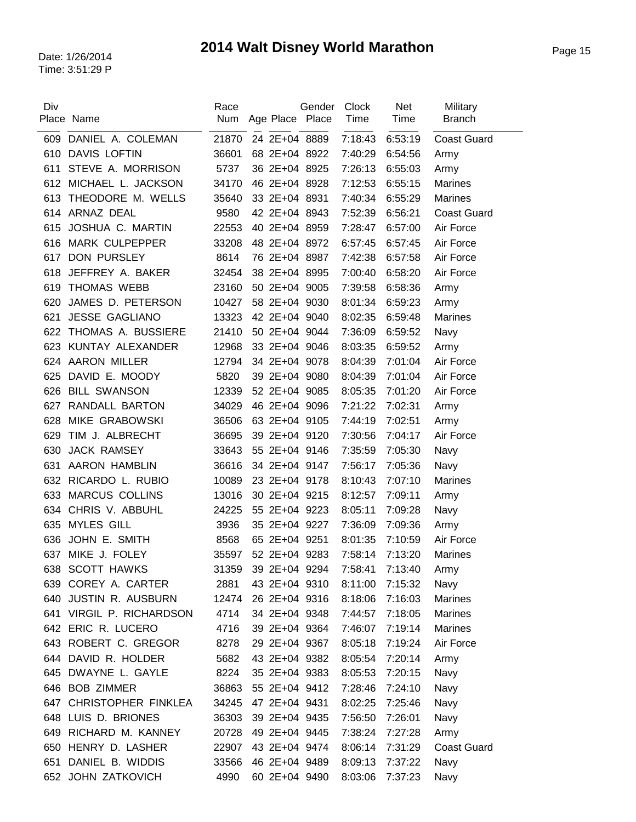| Div        | Place Name                               | Race<br>Num    | Age Place Place                | Gender | <b>Clock</b><br>Time | Net<br>Time        | Military<br><b>Branch</b> |
|------------|------------------------------------------|----------------|--------------------------------|--------|----------------------|--------------------|---------------------------|
|            |                                          |                |                                |        |                      |                    |                           |
| 609<br>610 | DANIEL A. COLEMAN<br><b>DAVIS LOFTIN</b> | 21870<br>36601 | 24 2E+04 8889<br>68 2E+04 8922 |        | 7:18:43<br>7:40:29   | 6:53:19            | <b>Coast Guard</b>        |
| 611        | STEVE A. MORRISON                        | 5737           | 36 2E+04 8925                  |        | 7:26:13              | 6:54:56<br>6:55:03 | Army<br>Army              |
| 612        | MICHAEL L. JACKSON                       | 34170          | 46 2E+04 8928                  |        | 7:12:53              | 6:55:15            | Marines                   |
| 613        | THEODORE M. WELLS                        | 35640          | 33 2E+04 8931                  |        | 7:40:34              | 6:55:29            | Marines                   |
| 614        | ARNAZ DEAL                               | 9580           | 42 2E+04 8943                  |        | 7:52:39              | 6:56:21            | <b>Coast Guard</b>        |
| 615        | JOSHUA C. MARTIN                         | 22553          | 40 2E+04 8959                  |        | 7:28:47              | 6:57:00            | Air Force                 |
| 616        | <b>MARK CULPEPPER</b>                    | 33208          | 48 2E+04 8972                  |        | 6:57:45              | 6:57:45            | Air Force                 |
| 617        | <b>DON PURSLEY</b>                       | 8614           | 76 2E+04 8987                  |        | 7:42:38              | 6:57:58            | Air Force                 |
| 618        | JEFFREY A. BAKER                         | 32454          | 38 2E+04 8995                  |        | 7:00:40              | 6:58:20            | Air Force                 |
| 619        | <b>THOMAS WEBB</b>                       | 23160          | 50 2E+04 9005                  |        | 7:39:58              | 6:58:36            | Army                      |
| 620        | JAMES D. PETERSON                        | 10427          | 58 2E+04 9030                  |        | 8:01:34              | 6:59:23            | Army                      |
| 621        | <b>JESSE GAGLIANO</b>                    | 13323          | 42 2E+04 9040                  |        | 8:02:35              | 6:59:48            | <b>Marines</b>            |
| 622        | THOMAS A. BUSSIERE                       | 21410          | 50 2E+04 9044                  |        | 7:36:09              | 6:59:52            | Navy                      |
| 623        | KUNTAY ALEXANDER                         | 12968          | 33 2E+04 9046                  |        | 8:03:35              | 6:59:52            | Army                      |
| 624        | <b>AARON MILLER</b>                      | 12794          | 34 2E+04 9078                  |        | 8:04:39              | 7:01:04            | Air Force                 |
| 625        | DAVID E. MOODY                           | 5820           | 39 2E+04 9080                  |        | 8:04:39              | 7:01:04            | Air Force                 |
| 626        | <b>BILL SWANSON</b>                      | 12339          | 52 2E+04 9085                  |        | 8:05:35              | 7:01:20            | Air Force                 |
| 627        | RANDALL BARTON                           | 34029          | 46 2E+04 9096                  |        | 7:21:22              | 7:02:31            | Army                      |
| 628        | <b>MIKE GRABOWSKI</b>                    | 36506          | 63 2E+04 9105                  |        | 7:44:19              | 7:02:51            | Army                      |
| 629        | TIM J. ALBRECHT                          | 36695          | 39 2E+04 9120                  |        | 7:30:56              | 7:04:17            | Air Force                 |
| 630        | <b>JACK RAMSEY</b>                       | 33643          | 55 2E+04 9146                  |        | 7:35:59              | 7:05:30            | Navy                      |
| 631        | AARON HAMBLIN                            | 36616          | 34 2E+04 9147                  |        | 7:56:17              |                    |                           |
|            | 632 RICARDO L. RUBIO                     | 10089          | 23 2E+04 9178                  |        | 8:10:43              | 7:05:36<br>7:07:10 | Navy<br>Marines           |
| 633        | <b>MARCUS COLLINS</b>                    | 13016          | 30 2E+04 9215                  |        | 8:12:57              | 7:09:11            |                           |
| 634        | CHRIS V. ABBUHL                          | 24225          | 55 2E+04 9223                  |        |                      |                    | Army                      |
|            | <b>MYLES GILL</b>                        |                | 35 2E+04 9227                  |        | 8:05:11              | 7:09:28            | Navy                      |
| 635        | JOHN E. SMITH                            | 3936           |                                |        | 7:36:09              | 7:09:36            | Army                      |
| 636        |                                          | 8568           | 65 2E+04 9251                  |        | 8:01:35              | 7:10:59            | Air Force                 |
|            | 637 MIKE J. FOLEY                        | 35597<br>31359 | 52 2E+04 9283                  |        | 7:58:14              | 7:13:20            | <b>Marines</b>            |
|            | 638 SCOTT HAWKS                          |                | 39 2E+04 9294                  |        | 7:58:41              | 7:13:40            | Army                      |
|            | 639 COREY A. CARTER                      | 2881           | 43 2E+04 9310                  |        | 8:11:00              | 7:15:32            | Navy                      |
| 640        | JUSTIN R. AUSBURN                        | 12474          | 26 2E+04 9316                  |        | 8:18:06              | 7:16:03            | <b>Marines</b>            |
|            | 641 VIRGIL P. RICHARDSON                 | 4714           | 34 2E+04 9348                  |        | 7:44:57              | 7:18:05            | <b>Marines</b>            |
|            | 642 ERIC R. LUCERO                       | 4716           | 39 2E+04 9364                  |        | 7:46:07              | 7:19:14            | <b>Marines</b>            |
|            | 643 ROBERT C. GREGOR                     | 8278           | 29 2E+04 9367                  |        | 8:05:18              | 7:19:24            | Air Force                 |
| 644        | DAVID R. HOLDER                          | 5682           | 43 2E+04 9382                  |        | 8:05:54              | 7:20:14            | Army                      |
|            | 645 DWAYNE L. GAYLE                      | 8224           | 35 2E+04 9383                  |        | 8:05:53              | 7:20:15            | Navy                      |
|            | 646 BOB ZIMMER                           | 36863          | 55 2E+04 9412                  |        | 7:28:46              | 7:24:10            | Navy                      |
|            | 647 CHRISTOPHER FINKLEA                  | 34245          | 47 2E+04 9431                  |        | 8:02:25              | 7:25:46            | Navy                      |
|            | 648 LUIS D. BRIONES                      | 36303          | 39 2E+04 9435                  |        | 7:56:50              | 7:26:01            | Navy                      |
| 649        | RICHARD M. KANNEY                        | 20728          | 49 2E+04 9445                  |        | 7:38:24              | 7:27:28            | Army                      |
|            | 650 HENRY D. LASHER                      | 22907          | 43 2E+04 9474                  |        | 8:06:14              | 7:31:29            | <b>Coast Guard</b>        |
| 651        | DANIEL B. WIDDIS                         | 33566          | 46 2E+04 9489                  |        | 8:09:13              | 7:37:22            | Navy                      |
|            | 652 JOHN ZATKOVICH                       | 4990           | 60 2E+04 9490                  |        | 8:03:06              | 7:37:23            | Navy                      |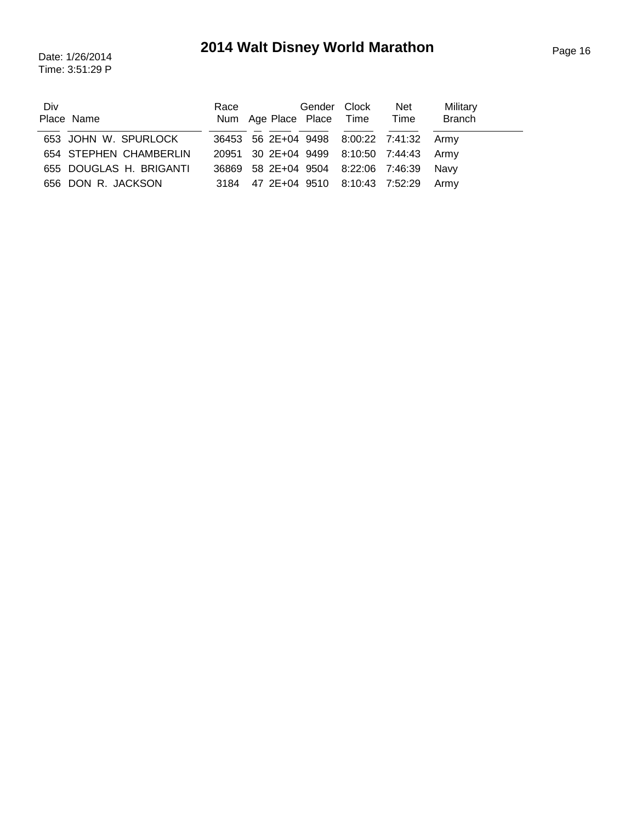## Page 16 Date: 1/26/2014 **2014 Walt Disney World Marathon**

Time: 3:51:29 P

| Div |                         | Race                                     | Gender Clock | Net  | Military      |
|-----|-------------------------|------------------------------------------|--------------|------|---------------|
|     | Place Name              | Num Age Place Place Time                 |              | Time | <b>Branch</b> |
|     |                         |                                          |              |      |               |
|     | 653 JOHN W. SPURLOCK    | 36453 56 2E+04 9498 8:00:22 7:41:32 Army |              |      |               |
|     | 654 STEPHEN CHAMBERLIN  | 20951 30 2E+04 9499 8:10:50 7:44:43 Army |              |      |               |
|     | 655 DOUGLAS H. BRIGANTI | 36869 58 2E+04 9504 8:22:06 7:46:39 Navy |              |      |               |
|     | 656 DON R. JACKSON      | 3184 47 2E+04 9510 8:10:43 7:52:29 Army  |              |      |               |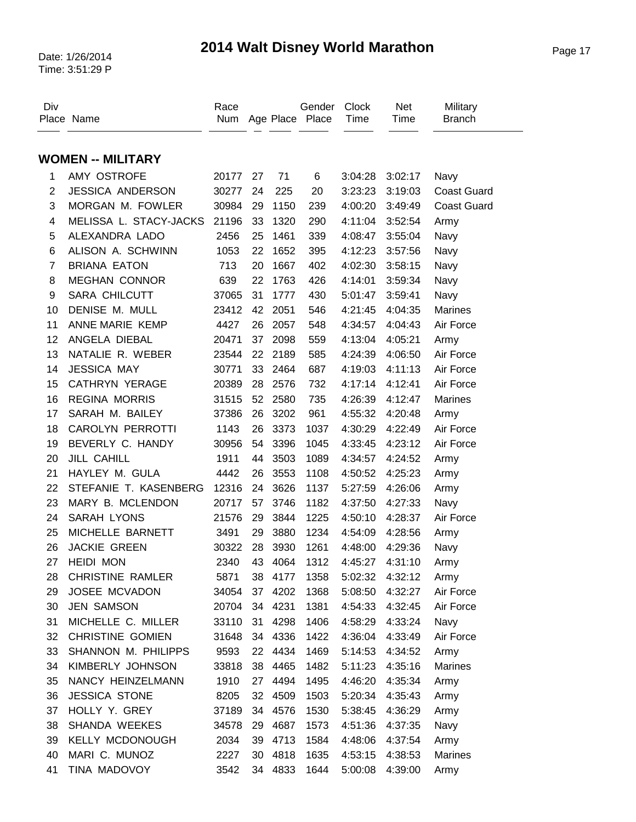## Page 17 Date: 1/26/2014 **2014 Walt Disney World Marathon**

| Div            | Place Name               | Race<br>Num |    |         | Gender<br>Age Place Place | Clock<br>Time | <b>Net</b><br>Time | Military<br><b>Branch</b> |
|----------------|--------------------------|-------------|----|---------|---------------------------|---------------|--------------------|---------------------------|
|                | <b>WOMEN -- MILITARY</b> |             |    |         |                           |               |                    |                           |
| 1              | AMY OSTROFE              | 20177       | 27 | 71      | 6                         | 3:04:28       | 3:02:17            | Navy                      |
| $\overline{2}$ | <b>JESSICA ANDERSON</b>  | 30277       | 24 | 225     | 20                        | 3:23:23       | 3:19:03            | <b>Coast Guard</b>        |
| 3              | MORGAN M. FOWLER         | 30984       | 29 | 1150    | 239                       | 4:00:20       | 3:49:49            | <b>Coast Guard</b>        |
| 4              | MELISSA L. STACY-JACKS   | 21196       | 33 | 1320    | 290                       | 4:11:04       | 3:52:54            | Army                      |
| 5              | ALEXANDRA LADO           | 2456        | 25 | 1461    | 339                       | 4:08:47       | 3:55:04            | Navy                      |
| 6              | ALISON A. SCHWINN        | 1053        | 22 | 1652    | 395                       | 4:12:23       | 3:57:56            | Navy                      |
| $\overline{7}$ | <b>BRIANA EATON</b>      | 713         | 20 | 1667    | 402                       | 4:02:30       | 3:58:15            | Navy                      |
| 8              | <b>MEGHAN CONNOR</b>     | 639         | 22 | 1763    | 426                       | 4:14:01       | 3:59:34            | Navy                      |
| 9              | <b>SARA CHILCUTT</b>     | 37065       | 31 | 1777    | 430                       | 5:01:47       | 3:59:41            | Navy                      |
| 10             | DENISE M. MULL           | 23412       | 42 | 2051    | 546                       | 4:21:45       | 4:04:35            | <b>Marines</b>            |
| 11             | ANNE MARIE KEMP          | 4427        | 26 | 2057    | 548                       | 4:34:57       | 4:04:43            | Air Force                 |
| 12             | ANGELA DIEBAL            | 20471       | 37 | 2098    | 559                       | 4:13:04       | 4:05:21            | Army                      |
| 13             | NATALIE R. WEBER         | 23544       | 22 | 2189    | 585                       | 4:24:39       | 4:06:50            | Air Force                 |
| 14             | <b>JESSICA MAY</b>       | 30771       | 33 | 2464    | 687                       | 4:19:03       | 4:11:13            | Air Force                 |
| 15             | <b>CATHRYN YERAGE</b>    | 20389       | 28 | 2576    | 732                       | 4:17:14       | 4:12:41            | Air Force                 |
| 16             | <b>REGINA MORRIS</b>     | 31515       | 52 | 2580    | 735                       | 4:26:39       | 4:12:47            | <b>Marines</b>            |
| 17             | SARAH M. BAILEY          | 37386       | 26 | 3202    | 961                       | 4:55:32       | 4:20:48            | Army                      |
| 18             | <b>CAROLYN PERROTTI</b>  | 1143        | 26 | 3373    | 1037                      | 4:30:29       | 4:22:49            | Air Force                 |
| 19             | BEVERLY C. HANDY         | 30956       | 54 | 3396    | 1045                      | 4:33:45       | 4:23:12            | Air Force                 |
| 20             | <b>JILL CAHILL</b>       | 1911        | 44 | 3503    | 1089                      | 4:34:57       | 4:24:52            | Army                      |
| 21             | HAYLEY M. GULA           | 4442        | 26 | 3553    | 1108                      | 4:50:52       | 4:25:23            | Army                      |
| 22             | STEFANIE T. KASENBERG    | 12316       | 24 | 3626    | 1137                      | 5:27:59       | 4:26:06            | Army                      |
| 23             | MARY B. MCLENDON         | 20717       | 57 | 3746    | 1182                      | 4:37:50       | 4:27:33            | Navy                      |
| 24             | SARAH LYONS              | 21576       | 29 | 3844    | 1225                      | 4:50:10       | 4:28:37            | Air Force                 |
| 25             | MICHELLE BARNETT         | 3491        | 29 | 3880    | 1234                      | 4:54:09       | 4:28:56            | Army                      |
| 26             | <b>JACKIE GREEN</b>      | 30322       | 28 | 3930    | 1261                      | 4:48:00       | 4:29:36            | Navy                      |
| 27             | <b>HEIDI MON</b>         | 2340        | 43 | 4064    | 1312                      | 4:45:27       | 4:31:10            | Army                      |
| 28             | <b>CHRISTINE RAMLER</b>  | 5871        |    | 38 4177 | 1358                      | 5:02:32       | 4:32:12            | Army                      |
| 29             | JOSEE MCVADON            | 34054       | 37 | 4202    | 1368                      | 5:08:50       | 4:32:27            | Air Force                 |
| 30             | <b>JEN SAMSON</b>        | 20704       | 34 | 4231    | 1381                      | 4:54:33       | 4:32:45            | Air Force                 |
| 31             | MICHELLE C. MILLER       | 33110       | 31 | 4298    | 1406                      | 4:58:29       | 4:33:24            | Navy                      |
| 32             | <b>CHRISTINE GOMIEN</b>  | 31648       | 34 | 4336    | 1422                      | 4:36:04       | 4:33:49            | Air Force                 |
| 33             | SHANNON M. PHILIPPS      | 9593        | 22 | 4434    | 1469                      | 5:14:53       | 4:34:52            | Army                      |
| 34             | KIMBERLY JOHNSON         | 33818       | 38 | 4465    | 1482                      | 5:11:23       | 4:35:16            | Marines                   |
| 35             | NANCY HEINZELMANN        | 1910        | 27 | 4494    | 1495                      | 4:46:20       | 4:35:34            | Army                      |
| 36             | <b>JESSICA STONE</b>     | 8205        | 32 | 4509    | 1503                      | 5:20:34       | 4:35:43            | Army                      |
| 37             | HOLLY Y. GREY            | 37189       | 34 | 4576    | 1530                      | 5:38:45       | 4:36:29            | Army                      |
| 38             | SHANDA WEEKES            | 34578       | 29 | 4687    | 1573                      | 4:51:36       | 4:37:35            | Navy                      |
| 39             | <b>KELLY MCDONOUGH</b>   | 2034        | 39 | 4713    | 1584                      | 4:48:06       | 4:37:54            | Army                      |
| 40             | MARI C. MUNOZ            | 2227        | 30 | 4818    | 1635                      | 4:53:15       | 4:38:53            | <b>Marines</b>            |
| 41             | TINA MADOVOY             | 3542        | 34 | 4833    | 1644                      | 5:00:08       | 4:39:00            | Army                      |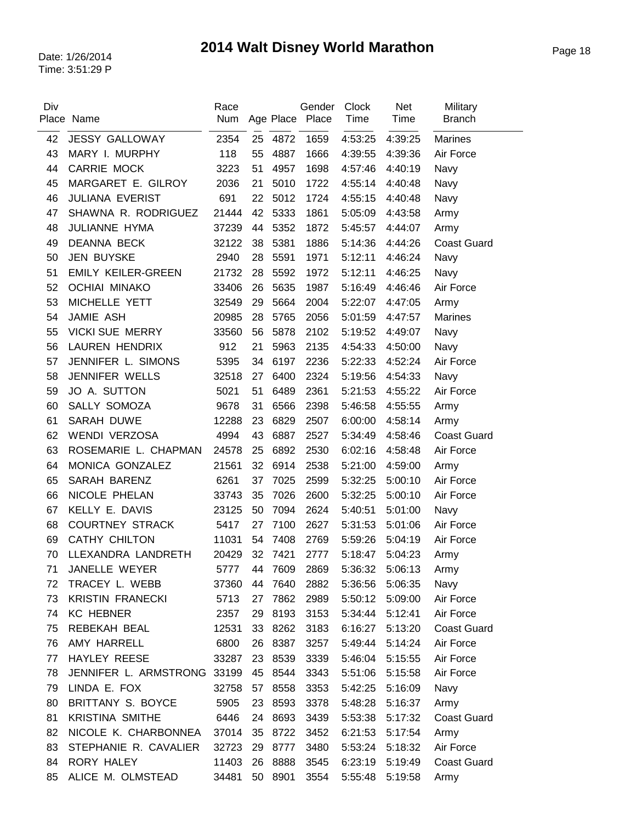| Div | Place Name                  | Race<br>Num |    |         | Gender<br>Age Place Place | <b>Clock</b><br>Time | Net<br>Time | Military<br><b>Branch</b> |
|-----|-----------------------------|-------------|----|---------|---------------------------|----------------------|-------------|---------------------------|
|     |                             |             |    |         |                           |                      |             |                           |
| 42  | <b>JESSY GALLOWAY</b>       | 2354        | 25 | 4872    | 1659                      | 4:53:25              | 4:39:25     | <b>Marines</b>            |
| 43  | MARY I. MURPHY              | 118         | 55 | 4887    | 1666                      | 4:39:55              | 4:39:36     | Air Force                 |
| 44  | CARRIE MOCK                 | 3223        | 51 | 4957    | 1698                      | 4:57:46              | 4:40:19     | Navy                      |
| 45  | MARGARET E. GILROY          | 2036        | 21 | 5010    | 1722                      | 4:55:14              | 4:40:48     | Navy                      |
| 46  | <b>JULIANA EVERIST</b>      | 691         | 22 | 5012    | 1724                      | 4:55:15              | 4:40:48     | Navy                      |
| 47  | SHAWNA R. RODRIGUEZ         | 21444       | 42 | 5333    | 1861                      | 5:05:09              | 4:43:58     | Army                      |
| 48  | JULIANNE HYMA               | 37239       | 44 | 5352    | 1872                      | 5:45:57              | 4:44:07     | Army                      |
| 49  | <b>DEANNA BECK</b>          | 32122       | 38 | 5381    | 1886                      | 5:14:36              | 4:44:26     | <b>Coast Guard</b>        |
| 50  | <b>JEN BUYSKE</b>           | 2940        | 28 | 5591    | 1971                      | 5:12:11              | 4:46:24     | Navy                      |
| 51  | <b>EMILY KEILER-GREEN</b>   | 21732       | 28 | 5592    | 1972                      | 5:12:11              | 4:46:25     | Navy                      |
| 52  | <b>OCHIAI MINAKO</b>        | 33406       | 26 | 5635    | 1987                      | 5:16:49              | 4:46:46     | Air Force                 |
| 53  | MICHELLE YETT               | 32549       | 29 | 5664    | 2004                      | 5:22:07              | 4:47:05     | Army                      |
| 54  | <b>JAMIE ASH</b>            | 20985       | 28 | 5765    | 2056                      | 5:01:59              | 4:47:57     | <b>Marines</b>            |
| 55  | <b>VICKI SUE MERRY</b>      | 33560       | 56 | 5878    | 2102                      | 5:19:52              | 4:49:07     | Navy                      |
| 56  | LAUREN HENDRIX              | 912         | 21 | 5963    | 2135                      | 4:54:33              | 4:50:00     | Navy                      |
| 57  | JENNIFER L. SIMONS          | 5395        | 34 | 6197    | 2236                      | 5:22:33              | 4:52:24     | Air Force                 |
| 58  | JENNIFER WELLS              | 32518       | 27 | 6400    | 2324                      | 5:19:56              | 4:54:33     | Navy                      |
| 59  | JO A. SUTTON                | 5021        | 51 | 6489    | 2361                      | 5:21:53              | 4:55:22     | Air Force                 |
| 60  | SALLY SOMOZA                | 9678        | 31 | 6566    | 2398                      | 5:46:58              | 4:55:55     | Army                      |
| 61  | <b>SARAH DUWE</b>           | 12288       | 23 | 6829    | 2507                      | 6:00:00              | 4:58:14     | Army                      |
| 62  | <b>WENDI VERZOSA</b>        | 4994        | 43 | 6887    | 2527                      | 5:34:49              | 4:58:46     | <b>Coast Guard</b>        |
| 63  | ROSEMARIE L. CHAPMAN        | 24578       | 25 | 6892    | 2530                      | 6:02:16              | 4:58:48     | Air Force                 |
| 64  | MONICA GONZALEZ             | 21561       | 32 | 6914    | 2538                      | 5:21:00              | 4:59:00     | Army                      |
| 65  | SARAH BARENZ                | 6261        | 37 | 7025    | 2599                      | 5:32:25              | 5:00:10     | Air Force                 |
| 66  | NICOLE PHELAN               | 33743       | 35 | 7026    | 2600                      | 5:32:25              | 5:00:10     | Air Force                 |
| 67  | KELLY E. DAVIS              | 23125       | 50 | 7094    | 2624                      | 5:40:51              | 5:01:00     | Navy                      |
| 68  | <b>COURTNEY STRACK</b>      | 5417        | 27 | 7100    | 2627                      | 5:31:53              | 5:01:06     | Air Force                 |
| 69  | <b>CATHY CHILTON</b>        | 11031       | 54 | 7408    | 2769                      | 5:59:26              | 5:04:19     | Air Force                 |
| 70  | LLEXANDRA LANDRETH          | 20429       |    | 32 7421 | 2777                      | 5:18:47              | 5:04:23     | Army                      |
| 71  | JANELLE WEYER               | 5777        |    | 44 7609 | 2869                      | 5:36:32 5:06:13      |             | Army                      |
| 72  | TRACEY L. WEBB              | 37360       | 44 | 7640    | 2882                      | 5:36:56              | 5:06:35     | Navy                      |
| 73  | <b>KRISTIN FRANECKI</b>     | 5713        | 27 | 7862    | 2989                      | 5:50:12              | 5:09:00     | Air Force                 |
| 74  | <b>KC HEBNER</b>            | 2357        | 29 | 8193    | 3153                      | 5:34:44              | 5:12:41     | Air Force                 |
| 75  | REBEKAH BEAL                | 12531       | 33 | 8262    | 3183                      | 6:16:27              | 5:13:20     | <b>Coast Guard</b>        |
| 76  | AMY HARRELL                 | 6800        | 26 | 8387    | 3257                      | 5:49:44              | 5:14:24     | Air Force                 |
| 77  | HAYLEY REESE                | 33287       | 23 | 8539    | 3339                      | 5:46:04              | 5:15:55     | Air Force                 |
| 78  | JENNIFER L. ARMSTRONG 33199 |             | 45 | 8544    | 3343                      | 5:51:06              | 5:15:58     | Air Force                 |
| 79  | LINDA E. FOX                | 32758       | 57 | 8558    | 3353                      | 5:42:25              | 5:16:09     | Navy                      |
| 80  | BRITTANY S. BOYCE           | 5905        | 23 | 8593    | 3378                      | 5:48:28              | 5:16:37     | Army                      |
| 81  | <b>KRISTINA SMITHE</b>      | 6446        | 24 | 8693    | 3439                      | 5:53:38              | 5:17:32     | <b>Coast Guard</b>        |
| 82  | NICOLE K. CHARBONNEA        | 37014       | 35 | 8722    | 3452                      | 6:21:53              | 5:17:54     | Army                      |
| 83  | STEPHANIE R. CAVALIER       | 32723       | 29 | 8777    | 3480                      | 5:53:24              | 5:18:32     | Air Force                 |
| 84  | RORY HALEY                  | 11403       | 26 | 8888    | 3545                      | 6:23:19              | 5:19:49     | <b>Coast Guard</b>        |
| 85  | ALICE M. OLMSTEAD           | 34481       | 50 | 8901    | 3554                      | 5:55:48              | 5:19:58     | Army                      |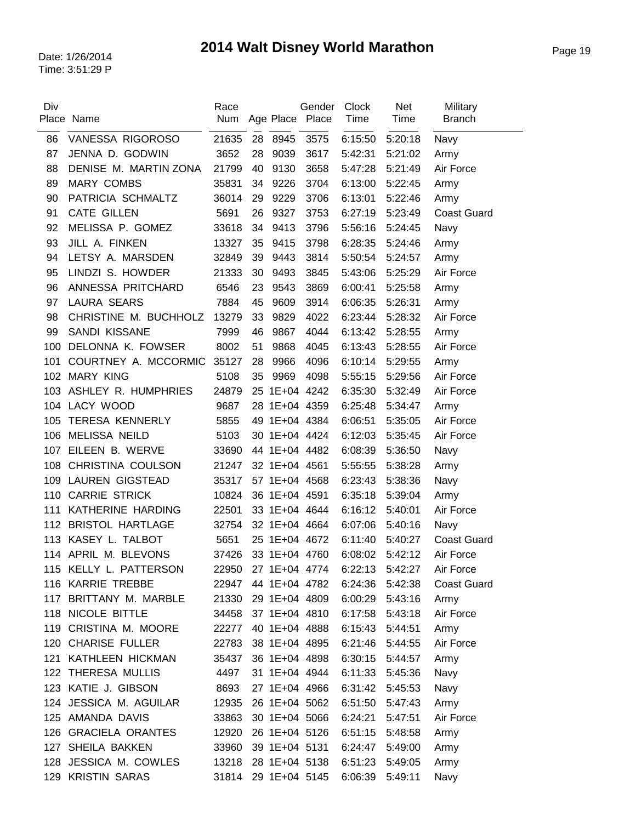| Age Place Place<br>Time<br>Time<br>Place Name<br>Num<br><b>Branch</b><br>8945<br>3575<br>86<br>VANESSA RIGOROSO<br>21635<br>28<br>6:15:50<br>5:20:18<br>Navy<br>JENNA D. GODWIN<br>87<br>3652<br>9039<br>3617<br>5:42:31<br>28<br>5:21:02<br>Army<br>3658<br>88<br>DENISE M. MARTIN ZONA<br>40<br>9130<br>5:47:28<br>Air Force<br>21799<br>5:21:49<br><b>MARY COMBS</b><br>3704<br>89<br>35831<br>34<br>9226<br>6:13:00<br>5:22:45<br>Army<br>90<br>PATRICIA SCHMALTZ<br>36014<br>29<br>9229<br>3706<br>6:13:01<br>5:22:46<br>Army<br><b>CATE GILLEN</b><br>3753<br>91<br>5691<br>26<br>9327<br>6:27:19<br>5:23:49<br><b>Coast Guard</b><br>92<br>MELISSA P. GOMEZ<br>9413<br>33618<br>34<br>3796<br>5:56:16<br>5:24:45<br>Navy<br>93<br>JILL A. FINKEN<br>13327<br>35<br>9415<br>3798<br>6:28:35<br>5:24:46<br>Army<br>3814<br>94<br>LETSY A. MARSDEN<br>32849<br>39<br>9443<br>5:50:54<br>5:24:57<br>Army<br>LINDZI S. HOWDER<br>95<br>21333<br>30<br>9493<br>3845<br>5:43:06<br>5:25:29<br>Air Force<br>3869<br>96<br>ANNESSA PRITCHARD<br>23<br>9543<br>6546<br>6:00:41<br>5:25:58<br>Army<br><b>LAURA SEARS</b><br>97<br>7884<br>45<br>9609<br>3914<br>6:06:35<br>5:26:31<br>Army<br>98<br>CHRISTINE M. BUCHHOLZ<br>13279<br>33<br>9829<br>4022<br>6:23:44<br>5:28:32<br>Air Force<br>SANDI KISSANE<br>4044<br>99<br>7999<br>46<br>9867<br>6:13:42<br>5:28:55<br>Army<br>8002<br>100<br>DELONNA K. FOWSER<br>51<br>9868<br>4045<br>6:13:43<br>5:28:55<br>Air Force<br>COURTNEY A. MCCORMIC<br>35127<br>28<br>9966<br>4096<br>6:10:14<br>101<br>5:29:55<br>Army<br><b>MARY KING</b><br>102<br>5108<br>35<br>9969<br>4098<br>5:55:15<br>5:29:56<br>Air Force<br>ASHLEY R. HUMPHRIES<br>24879<br>25 1E+04 4242<br>6:35:30<br>5:32:49<br>Air Force<br>103<br>104 LACY WOOD<br>9687<br>28 1E+04 4359<br>6:25:48<br>5:34:47<br>Army<br><b>TERESA KENNERLY</b><br>5855<br>49 1E+04 4384<br>6:06:51<br>5:35:05<br>Air Force<br>105<br><b>MELISSA NEILD</b><br>106<br>5103<br>30 1E+04 4424<br>6:12:03<br>Air Force<br>5:35:45 | Military |
|----------------------------------------------------------------------------------------------------------------------------------------------------------------------------------------------------------------------------------------------------------------------------------------------------------------------------------------------------------------------------------------------------------------------------------------------------------------------------------------------------------------------------------------------------------------------------------------------------------------------------------------------------------------------------------------------------------------------------------------------------------------------------------------------------------------------------------------------------------------------------------------------------------------------------------------------------------------------------------------------------------------------------------------------------------------------------------------------------------------------------------------------------------------------------------------------------------------------------------------------------------------------------------------------------------------------------------------------------------------------------------------------------------------------------------------------------------------------------------------------------------------------------------------------------------------------------------------------------------------------------------------------------------------------------------------------------------------------------------------------------------------------------------------------------------------------------------------------------------------------------------------------------------------------------------------------------------------------------------------------------------------------------|----------|
|                                                                                                                                                                                                                                                                                                                                                                                                                                                                                                                                                                                                                                                                                                                                                                                                                                                                                                                                                                                                                                                                                                                                                                                                                                                                                                                                                                                                                                                                                                                                                                                                                                                                                                                                                                                                                                                                                                                                                                                                                            |          |
|                                                                                                                                                                                                                                                                                                                                                                                                                                                                                                                                                                                                                                                                                                                                                                                                                                                                                                                                                                                                                                                                                                                                                                                                                                                                                                                                                                                                                                                                                                                                                                                                                                                                                                                                                                                                                                                                                                                                                                                                                            |          |
|                                                                                                                                                                                                                                                                                                                                                                                                                                                                                                                                                                                                                                                                                                                                                                                                                                                                                                                                                                                                                                                                                                                                                                                                                                                                                                                                                                                                                                                                                                                                                                                                                                                                                                                                                                                                                                                                                                                                                                                                                            |          |
|                                                                                                                                                                                                                                                                                                                                                                                                                                                                                                                                                                                                                                                                                                                                                                                                                                                                                                                                                                                                                                                                                                                                                                                                                                                                                                                                                                                                                                                                                                                                                                                                                                                                                                                                                                                                                                                                                                                                                                                                                            |          |
|                                                                                                                                                                                                                                                                                                                                                                                                                                                                                                                                                                                                                                                                                                                                                                                                                                                                                                                                                                                                                                                                                                                                                                                                                                                                                                                                                                                                                                                                                                                                                                                                                                                                                                                                                                                                                                                                                                                                                                                                                            |          |
|                                                                                                                                                                                                                                                                                                                                                                                                                                                                                                                                                                                                                                                                                                                                                                                                                                                                                                                                                                                                                                                                                                                                                                                                                                                                                                                                                                                                                                                                                                                                                                                                                                                                                                                                                                                                                                                                                                                                                                                                                            |          |
|                                                                                                                                                                                                                                                                                                                                                                                                                                                                                                                                                                                                                                                                                                                                                                                                                                                                                                                                                                                                                                                                                                                                                                                                                                                                                                                                                                                                                                                                                                                                                                                                                                                                                                                                                                                                                                                                                                                                                                                                                            |          |
|                                                                                                                                                                                                                                                                                                                                                                                                                                                                                                                                                                                                                                                                                                                                                                                                                                                                                                                                                                                                                                                                                                                                                                                                                                                                                                                                                                                                                                                                                                                                                                                                                                                                                                                                                                                                                                                                                                                                                                                                                            |          |
|                                                                                                                                                                                                                                                                                                                                                                                                                                                                                                                                                                                                                                                                                                                                                                                                                                                                                                                                                                                                                                                                                                                                                                                                                                                                                                                                                                                                                                                                                                                                                                                                                                                                                                                                                                                                                                                                                                                                                                                                                            |          |
|                                                                                                                                                                                                                                                                                                                                                                                                                                                                                                                                                                                                                                                                                                                                                                                                                                                                                                                                                                                                                                                                                                                                                                                                                                                                                                                                                                                                                                                                                                                                                                                                                                                                                                                                                                                                                                                                                                                                                                                                                            |          |
|                                                                                                                                                                                                                                                                                                                                                                                                                                                                                                                                                                                                                                                                                                                                                                                                                                                                                                                                                                                                                                                                                                                                                                                                                                                                                                                                                                                                                                                                                                                                                                                                                                                                                                                                                                                                                                                                                                                                                                                                                            |          |
|                                                                                                                                                                                                                                                                                                                                                                                                                                                                                                                                                                                                                                                                                                                                                                                                                                                                                                                                                                                                                                                                                                                                                                                                                                                                                                                                                                                                                                                                                                                                                                                                                                                                                                                                                                                                                                                                                                                                                                                                                            |          |
|                                                                                                                                                                                                                                                                                                                                                                                                                                                                                                                                                                                                                                                                                                                                                                                                                                                                                                                                                                                                                                                                                                                                                                                                                                                                                                                                                                                                                                                                                                                                                                                                                                                                                                                                                                                                                                                                                                                                                                                                                            |          |
|                                                                                                                                                                                                                                                                                                                                                                                                                                                                                                                                                                                                                                                                                                                                                                                                                                                                                                                                                                                                                                                                                                                                                                                                                                                                                                                                                                                                                                                                                                                                                                                                                                                                                                                                                                                                                                                                                                                                                                                                                            |          |
|                                                                                                                                                                                                                                                                                                                                                                                                                                                                                                                                                                                                                                                                                                                                                                                                                                                                                                                                                                                                                                                                                                                                                                                                                                                                                                                                                                                                                                                                                                                                                                                                                                                                                                                                                                                                                                                                                                                                                                                                                            |          |
|                                                                                                                                                                                                                                                                                                                                                                                                                                                                                                                                                                                                                                                                                                                                                                                                                                                                                                                                                                                                                                                                                                                                                                                                                                                                                                                                                                                                                                                                                                                                                                                                                                                                                                                                                                                                                                                                                                                                                                                                                            |          |
|                                                                                                                                                                                                                                                                                                                                                                                                                                                                                                                                                                                                                                                                                                                                                                                                                                                                                                                                                                                                                                                                                                                                                                                                                                                                                                                                                                                                                                                                                                                                                                                                                                                                                                                                                                                                                                                                                                                                                                                                                            |          |
|                                                                                                                                                                                                                                                                                                                                                                                                                                                                                                                                                                                                                                                                                                                                                                                                                                                                                                                                                                                                                                                                                                                                                                                                                                                                                                                                                                                                                                                                                                                                                                                                                                                                                                                                                                                                                                                                                                                                                                                                                            |          |
|                                                                                                                                                                                                                                                                                                                                                                                                                                                                                                                                                                                                                                                                                                                                                                                                                                                                                                                                                                                                                                                                                                                                                                                                                                                                                                                                                                                                                                                                                                                                                                                                                                                                                                                                                                                                                                                                                                                                                                                                                            |          |
|                                                                                                                                                                                                                                                                                                                                                                                                                                                                                                                                                                                                                                                                                                                                                                                                                                                                                                                                                                                                                                                                                                                                                                                                                                                                                                                                                                                                                                                                                                                                                                                                                                                                                                                                                                                                                                                                                                                                                                                                                            |          |
|                                                                                                                                                                                                                                                                                                                                                                                                                                                                                                                                                                                                                                                                                                                                                                                                                                                                                                                                                                                                                                                                                                                                                                                                                                                                                                                                                                                                                                                                                                                                                                                                                                                                                                                                                                                                                                                                                                                                                                                                                            |          |
|                                                                                                                                                                                                                                                                                                                                                                                                                                                                                                                                                                                                                                                                                                                                                                                                                                                                                                                                                                                                                                                                                                                                                                                                                                                                                                                                                                                                                                                                                                                                                                                                                                                                                                                                                                                                                                                                                                                                                                                                                            |          |
| EILEEN B. WERVE<br>107<br>33690<br>44 1E+04 4482<br>6:08:39<br>5:36:50<br>Navy                                                                                                                                                                                                                                                                                                                                                                                                                                                                                                                                                                                                                                                                                                                                                                                                                                                                                                                                                                                                                                                                                                                                                                                                                                                                                                                                                                                                                                                                                                                                                                                                                                                                                                                                                                                                                                                                                                                                             |          |
| CHRISTINA COULSON<br>21247<br>32 1E+04 4561<br>5:55:55<br>108<br>5:38:28<br>Army                                                                                                                                                                                                                                                                                                                                                                                                                                                                                                                                                                                                                                                                                                                                                                                                                                                                                                                                                                                                                                                                                                                                                                                                                                                                                                                                                                                                                                                                                                                                                                                                                                                                                                                                                                                                                                                                                                                                           |          |
| <b>LAUREN GIGSTEAD</b><br>35317<br>57 1E+04 4568<br>5:38:36<br>109<br>6:23:43<br>Navy                                                                                                                                                                                                                                                                                                                                                                                                                                                                                                                                                                                                                                                                                                                                                                                                                                                                                                                                                                                                                                                                                                                                                                                                                                                                                                                                                                                                                                                                                                                                                                                                                                                                                                                                                                                                                                                                                                                                      |          |
| <b>CARRIE STRICK</b><br>110<br>10824<br>36 1E+04 4591<br>6:35:18<br>5:39:04<br>Army                                                                                                                                                                                                                                                                                                                                                                                                                                                                                                                                                                                                                                                                                                                                                                                                                                                                                                                                                                                                                                                                                                                                                                                                                                                                                                                                                                                                                                                                                                                                                                                                                                                                                                                                                                                                                                                                                                                                        |          |
| KATHERINE HARDING<br>22501<br>33 1E+04 4644<br>6:16:12<br>5:40:01<br>Air Force<br>111                                                                                                                                                                                                                                                                                                                                                                                                                                                                                                                                                                                                                                                                                                                                                                                                                                                                                                                                                                                                                                                                                                                                                                                                                                                                                                                                                                                                                                                                                                                                                                                                                                                                                                                                                                                                                                                                                                                                      |          |
| 112<br><b>BRISTOL HARTLAGE</b><br>32 1E+04 4664<br>6:07:06<br>32754<br>5:40:16<br>Navy                                                                                                                                                                                                                                                                                                                                                                                                                                                                                                                                                                                                                                                                                                                                                                                                                                                                                                                                                                                                                                                                                                                                                                                                                                                                                                                                                                                                                                                                                                                                                                                                                                                                                                                                                                                                                                                                                                                                     |          |
| KASEY L. TALBOT<br>5651<br>25 1E+04 4672<br>6:11:40<br>5:40:27<br>113<br><b>Coast Guard</b>                                                                                                                                                                                                                                                                                                                                                                                                                                                                                                                                                                                                                                                                                                                                                                                                                                                                                                                                                                                                                                                                                                                                                                                                                                                                                                                                                                                                                                                                                                                                                                                                                                                                                                                                                                                                                                                                                                                                |          |
| 114 APRIL M. BLEVONS<br>37426<br>33 1E+04 4760<br>6:08:02<br>5:42:12<br>Air Force                                                                                                                                                                                                                                                                                                                                                                                                                                                                                                                                                                                                                                                                                                                                                                                                                                                                                                                                                                                                                                                                                                                                                                                                                                                                                                                                                                                                                                                                                                                                                                                                                                                                                                                                                                                                                                                                                                                                          |          |
| 115 KELLY L. PATTERSON<br>22950<br>27 1E+04 4774<br>5:42:27<br>6:22:13<br>Air Force                                                                                                                                                                                                                                                                                                                                                                                                                                                                                                                                                                                                                                                                                                                                                                                                                                                                                                                                                                                                                                                                                                                                                                                                                                                                                                                                                                                                                                                                                                                                                                                                                                                                                                                                                                                                                                                                                                                                        |          |
| 116 KARRIE TREBBE<br>22947<br>44 1E+04 4782<br>6:24:36<br>5:42:38<br><b>Coast Guard</b>                                                                                                                                                                                                                                                                                                                                                                                                                                                                                                                                                                                                                                                                                                                                                                                                                                                                                                                                                                                                                                                                                                                                                                                                                                                                                                                                                                                                                                                                                                                                                                                                                                                                                                                                                                                                                                                                                                                                    |          |
| 117 BRITTANY M. MARBLE<br>29 1E+04 4809<br>5:43:16<br>21330<br>6:00:29<br>Army                                                                                                                                                                                                                                                                                                                                                                                                                                                                                                                                                                                                                                                                                                                                                                                                                                                                                                                                                                                                                                                                                                                                                                                                                                                                                                                                                                                                                                                                                                                                                                                                                                                                                                                                                                                                                                                                                                                                             |          |
| 118 NICOLE BITTLE<br>37 1E+04 4810<br>34458<br>6:17:58<br>5:43:18<br>Air Force                                                                                                                                                                                                                                                                                                                                                                                                                                                                                                                                                                                                                                                                                                                                                                                                                                                                                                                                                                                                                                                                                                                                                                                                                                                                                                                                                                                                                                                                                                                                                                                                                                                                                                                                                                                                                                                                                                                                             |          |
| 119 CRISTINA M. MOORE<br>22277<br>40 1E+04 4888<br>6:15:43 5:44:51<br>Army                                                                                                                                                                                                                                                                                                                                                                                                                                                                                                                                                                                                                                                                                                                                                                                                                                                                                                                                                                                                                                                                                                                                                                                                                                                                                                                                                                                                                                                                                                                                                                                                                                                                                                                                                                                                                                                                                                                                                 |          |
| 120 CHARISE FULLER<br>22783<br>38 1E+04 4895<br>6:21:46<br>Air Force<br>5:44:55                                                                                                                                                                                                                                                                                                                                                                                                                                                                                                                                                                                                                                                                                                                                                                                                                                                                                                                                                                                                                                                                                                                                                                                                                                                                                                                                                                                                                                                                                                                                                                                                                                                                                                                                                                                                                                                                                                                                            |          |
| KATHLEEN HICKMAN<br>36 1E+04 4898<br>35437<br>6:30:15<br>5:44:57<br>121<br>Army                                                                                                                                                                                                                                                                                                                                                                                                                                                                                                                                                                                                                                                                                                                                                                                                                                                                                                                                                                                                                                                                                                                                                                                                                                                                                                                                                                                                                                                                                                                                                                                                                                                                                                                                                                                                                                                                                                                                            |          |
| 122 THERESA MULLIS<br>4497<br>31 1E+04 4944<br>6:11:33<br>5:45:36<br>Navy                                                                                                                                                                                                                                                                                                                                                                                                                                                                                                                                                                                                                                                                                                                                                                                                                                                                                                                                                                                                                                                                                                                                                                                                                                                                                                                                                                                                                                                                                                                                                                                                                                                                                                                                                                                                                                                                                                                                                  |          |
| 123 KATIE J. GIBSON<br>8693<br>27 1E+04 4966<br>6:31:42<br>5:45:53<br>Navy                                                                                                                                                                                                                                                                                                                                                                                                                                                                                                                                                                                                                                                                                                                                                                                                                                                                                                                                                                                                                                                                                                                                                                                                                                                                                                                                                                                                                                                                                                                                                                                                                                                                                                                                                                                                                                                                                                                                                 |          |
| 124 JESSICA M. AGUILAR<br>12935<br>26 1E+04 5062<br>6:51:50<br>5:47:43<br>Army                                                                                                                                                                                                                                                                                                                                                                                                                                                                                                                                                                                                                                                                                                                                                                                                                                                                                                                                                                                                                                                                                                                                                                                                                                                                                                                                                                                                                                                                                                                                                                                                                                                                                                                                                                                                                                                                                                                                             |          |
| 125 AMANDA DAVIS<br>30 1E+04 5066<br>6:24:21<br>Air Force<br>33863<br>5:47:51                                                                                                                                                                                                                                                                                                                                                                                                                                                                                                                                                                                                                                                                                                                                                                                                                                                                                                                                                                                                                                                                                                                                                                                                                                                                                                                                                                                                                                                                                                                                                                                                                                                                                                                                                                                                                                                                                                                                              |          |
| 126 GRACIELA ORANTES<br>12920<br>26 1E+04 5126<br>6:51:15<br>5:48:58<br>Army                                                                                                                                                                                                                                                                                                                                                                                                                                                                                                                                                                                                                                                                                                                                                                                                                                                                                                                                                                                                                                                                                                                                                                                                                                                                                                                                                                                                                                                                                                                                                                                                                                                                                                                                                                                                                                                                                                                                               |          |
| 127 SHEILA BAKKEN<br>33960<br>39 1E+04 5131<br>6:24:47<br>5:49:00<br>Army                                                                                                                                                                                                                                                                                                                                                                                                                                                                                                                                                                                                                                                                                                                                                                                                                                                                                                                                                                                                                                                                                                                                                                                                                                                                                                                                                                                                                                                                                                                                                                                                                                                                                                                                                                                                                                                                                                                                                  |          |
| 128 JESSICA M. COWLES<br>28 1E+04 5138<br>13218<br>6:51:23<br>5:49:05<br>Army                                                                                                                                                                                                                                                                                                                                                                                                                                                                                                                                                                                                                                                                                                                                                                                                                                                                                                                                                                                                                                                                                                                                                                                                                                                                                                                                                                                                                                                                                                                                                                                                                                                                                                                                                                                                                                                                                                                                              |          |
| 129 KRISTIN SARAS<br>31814<br>29 1E+04 5145<br>6:06:39<br>5:49:11<br>Navy                                                                                                                                                                                                                                                                                                                                                                                                                                                                                                                                                                                                                                                                                                                                                                                                                                                                                                                                                                                                                                                                                                                                                                                                                                                                                                                                                                                                                                                                                                                                                                                                                                                                                                                                                                                                                                                                                                                                                  |          |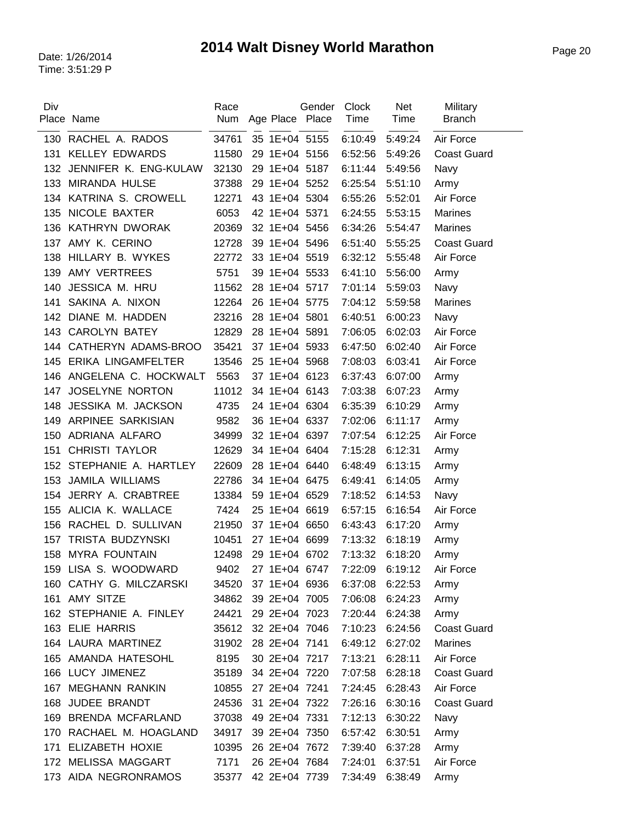| Div | Place Name              | Race<br>Num | Age Place Place | Gender | <b>Clock</b><br>Time | <b>Net</b><br>Time | Military<br><b>Branch</b> |
|-----|-------------------------|-------------|-----------------|--------|----------------------|--------------------|---------------------------|
| 130 | RACHEL A. RADOS         | 34761       | 35 1E+04 5155   |        | 6:10:49              | 5:49:24            | Air Force                 |
| 131 | <b>KELLEY EDWARDS</b>   | 11580       | 29 1E+04 5156   |        | 6:52:56              | 5:49:26            | <b>Coast Guard</b>        |
| 132 | JENNIFER K. ENG-KULAW   | 32130       | 29 1E+04 5187   |        | 6:11:44              | 5:49:56            | Navy                      |
| 133 | <b>MIRANDA HULSE</b>    | 37388       | 29 1E+04 5252   |        | 6:25:54              | 5:51:10            | Army                      |
|     | 134 KATRINA S. CROWELL  | 12271       | 43 1E+04 5304   |        | 6:55:26              | 5:52:01            | Air Force                 |
| 135 | NICOLE BAXTER           | 6053        | 42 1E+04 5371   |        | 6:24:55              | 5:53:15            | <b>Marines</b>            |
|     | 136 KATHRYN DWORAK      | 20369       | 32 1E+04 5456   |        | 6:34:26              | 5:54:47            | Marines                   |
|     | 137 AMY K. CERINO       | 12728       | 39 1E+04 5496   |        | 6:51:40              | 5:55:25            | <b>Coast Guard</b>        |
| 138 | HILLARY B. WYKES        | 22772       | 33 1E+04 5519   |        | 6:32:12              | 5:55:48            | Air Force                 |
| 139 | AMY VERTREES            | 5751        | 39 1E+04 5533   |        | 6:41:10              | 5:56:00            | Army                      |
| 140 | JESSICA M. HRU          | 11562       | 28 1E+04 5717   |        | 7:01:14              | 5:59:03            | Navy                      |
| 141 | SAKINA A. NIXON         | 12264       | 26 1E+04 5775   |        | 7:04:12              | 5:59:58            | Marines                   |
| 142 | DIANE M. HADDEN         | 23216       | 28 1E+04 5801   |        | 6:40:51              | 6:00:23            | Navy                      |
| 143 | <b>CAROLYN BATEY</b>    | 12829       | 28 1E+04 5891   |        | 7:06:05              | 6:02:03            | Air Force                 |
| 144 | CATHERYN ADAMS-BROO     | 35421       | 37 1E+04 5933   |        | 6:47:50              | 6:02:40            | Air Force                 |
| 145 | ERIKA LINGAMFELTER      | 13546       | 25 1E+04 5968   |        | 7:08:03              | 6:03:41            | Air Force                 |
| 146 | ANGELENA C. HOCKWALT    | 5563        | 37 1E+04 6123   |        | 6:37:43              | 6:07:00            | Army                      |
| 147 | JOSELYNE NORTON         | 11012       | 34 1E+04 6143   |        | 7:03:38              | 6:07:23            | Army                      |
| 148 | JESSIKA M. JACKSON      | 4735        | 24 1E+04 6304   |        | 6:35:39              | 6:10:29            | Army                      |
| 149 | ARPINEE SARKISIAN       | 9582        | 36 1E+04 6337   |        | 7:02:06              | 6:11:17            | Army                      |
| 150 | ADRIANA ALFARO          | 34999       | 32 1E+04 6397   |        | 7:07:54              | 6:12:25            | Air Force                 |
| 151 | <b>CHRISTI TAYLOR</b>   | 12629       | 34 1E+04 6404   |        | 7:15:28              | 6:12:31            | Army                      |
| 152 | STEPHANIE A. HARTLEY    | 22609       | 28 1E+04 6440   |        | 6:48:49              | 6:13:15            | Army                      |
| 153 | <b>JAMILA WILLIAMS</b>  | 22786       | 34 1E+04 6475   |        | 6:49:41              | 6:14:05            | Army                      |
| 154 | JERRY A. CRABTREE       | 13384       | 59 1E+04 6529   |        | 7:18:52              | 6:14:53            | Navy                      |
| 155 | ALICIA K. WALLACE       | 7424        | 25 1E+04 6619   |        | 6:57:15              | 6:16:54            | Air Force                 |
| 156 | RACHEL D. SULLIVAN      | 21950       | 37 1E+04 6650   |        | 6:43:43              | 6:17:20            | Army                      |
| 157 | TRISTA BUDZYNSKI        | 10451       | 27 1E+04 6699   |        | 7:13:32              | 6:18:19            | Army                      |
|     | 158 MYRA FOUNTAIN       | 12498       | 29 1E+04 6702   |        | 7:13:32              | 6:18:20            | Army                      |
|     | 159 LISA S. WOODWARD    | 9402        | 27 1E+04 6747   |        | 7:22:09              | 6:19:12            | Air Force                 |
|     | 160 CATHY G. MILCZARSKI | 34520       | 37 1E+04 6936   |        | 6:37:08              | 6:22:53            | Army                      |
|     | 161 AMY SITZE           | 34862       | 39 2E+04 7005   |        | 7:06:08              | 6:24:23            | Army                      |
|     | 162 STEPHANIE A. FINLEY | 24421       | 29 2E+04 7023   |        | 7:20:44              | 6:24:38            | Army                      |
|     | 163 ELIE HARRIS         | 35612       | 32 2E+04 7046   |        | 7:10:23              | 6:24:56            | <b>Coast Guard</b>        |
|     | 164 LAURA MARTINEZ      | 31902       | 28 2E+04 7141   |        | 6:49:12              | 6:27:02            | <b>Marines</b>            |
|     | 165 AMANDA HATESOHL     | 8195        | 30 2E+04 7217   |        | 7:13:21              | 6:28:11            | Air Force                 |
|     | 166 LUCY JIMENEZ        | 35189       | 34 2E+04 7220   |        | 7:07:58              | 6:28:18            | <b>Coast Guard</b>        |
|     | 167 MEGHANN RANKIN      | 10855       | 27 2E+04 7241   |        | 7:24:45              | 6:28:43            | Air Force                 |
|     | 168 JUDEE BRANDT        | 24536       | 31 2E+04 7322   |        | 7:26:16              | 6:30:16            | <b>Coast Guard</b>        |
|     | 169 BRENDA MCFARLAND    | 37038       | 49 2E+04 7331   |        | 7:12:13              | 6:30:22            | Navy                      |
|     | 170 RACHAEL M. HOAGLAND | 34917       | 39 2E+04 7350   |        | 6:57:42              | 6:30:51            | Army                      |
|     | 171 ELIZABETH HOXIE     | 10395       | 26 2E+04 7672   |        | 7:39:40              | 6:37:28            | Army                      |
|     | 172 MELISSA MAGGART     | 7171        | 26 2E+04 7684   |        | 7:24:01              | 6:37:51            | Air Force                 |
|     | 173 AIDA NEGRONRAMOS    | 35377       | 42 2E+04 7739   |        | 7:34:49              | 6:38:49            | Army                      |